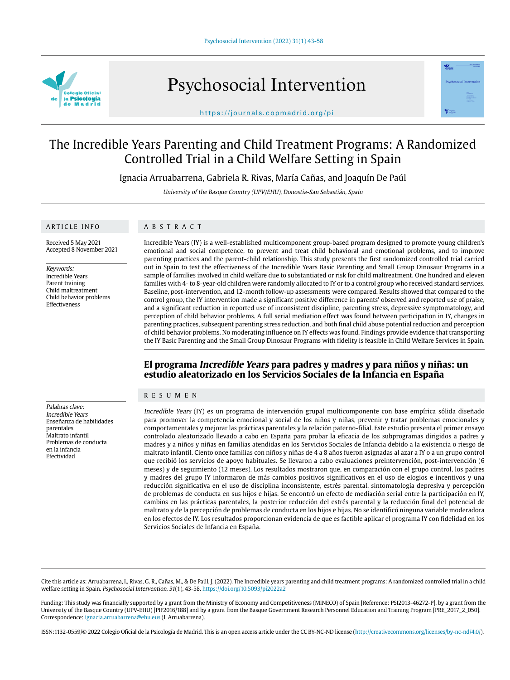

Psychosocial Intervention



https://journals.copmadrid.org/pi

# The Incredible Years Parenting and Child Treatment Programs: A Randomized Controlled Trial in a Child Welfare Setting in Spain

Ignacia Arruabarrena, Gabriela R. Rivas, María Cañas, and Joaquín De Paúl

University of the Basque Country (UPV/EHU), Donostia-San Sebastián, Spain

## ARTICLE INFO

## ABSTRACT

Received 5 May 2021 Accepted 8 November 2021

Keywords: Incredible Years Parent training Child maltreatment Child behavior problems Effectiveness

Palabras clave: Incredible Years Enseñanza de habilidades

parentales Maltrato infantil Problemas de conducta en la infancia Efectividad

Incredible Years (IY) is a well-established multicomponent group-based program designed to promote young children's emotional and social competence, to prevent and treat child behavioral and emotional problems, and to improve parenting practices and the parent-child relationship. This study presents the first randomized controlled trial carried out in Spain to test the effectiveness of the Incredible Years Basic Parenting and Small Group Dinosaur Programs in a sample of families involved in child welfare due to substantiated or risk for child maltreatment. One hundred and eleven families with 4- to 8-year-old children were randomly allocated to IY or to a control group who received standard services. Baseline, post-intervention, and 12-month follow-up assessments were compared. Results showed that compared to the control group, the IY intervention made a significant positive difference in parents' observed and reported use of praise, and a significant reduction in reported use of inconsistent discipline, parenting stress, depressive symptomatology, and perception of child behavior problems. A full serial mediation effect was found between participation in IY, changes in parenting practices, subsequent parenting stress reduction, and both final child abuse potential reduction and perception of child behavior problems. No moderating influence on IY effects was found. Findings provide evidence that transporting the IY Basic Parenting and the Small Group Dinosaur Programs with fidelity is feasible in Child Welfare Services in Spain.

## **El programa Incredible Years para padres y madres y para niños y niñas: un estudio aleatorizado en los Servicios Sociales de la Infancia en España**

## RESUMEN

Incredible Years (IY) es un programa de intervención grupal multicomponente con base empírica sólida diseñado para promover la competencia emocional y social de los niños y niñas, prevenir y tratar problemas emocionales y comportamentales y mejorar las prácticas parentales y la relación paterno-filial. Este estudio presenta el primer ensayo controlado aleatorizado llevado a cabo en España para probar la eficacia de los subprogramas dirigidos a padres y madres y a niños y niñas en familias atendidas en los Servicios Sociales de Infancia debido a la existencia o riesgo de maltrato infantil. Ciento once familias con niños y niñas de 4 a 8 años fueron asignadas al azar a IY o a un grupo control que recibió los servicios de apoyo habituales. Se llevaron a cabo evaluaciones preintervención, post-intervención (6 meses) y de seguimiento (12 meses). Los resultados mostraron que, en comparación con el grupo control, los padres y madres del grupo IY informaron de más cambios positivos significativos en el uso de elogios e incentivos y una reducción significativa en el uso de disciplina inconsistente, estrés parental, sintomatología depresiva y percepción de problemas de conducta en sus hijos e hijas. Se encontró un efecto de mediación serial entre la participación en IY, cambios en las prácticas parentales, la posterior reducción del estrés parental y la reducción final del potencial de maltrato y de la percepción de problemas de conducta en los hijos e hijas. No se identificó ninguna variable moderadora en los efectos de IY. Los resultados proporcionan evidencia de que es factible aplicar el programa IY con fidelidad en los Servicios Sociales de Infancia en España.

Cite this article as: Arruabarrena, I., Rivas, G. R., Cañas, M., & De Paúl, J. (2022). The Incredible years parenting and child treatment programs: A randomized controlled trial in a child welfare setting in Spain. Psychosocial Intervention, 31(1), 43-58. https://doi.org/10.5093/pi2022a2

Funding: This study was financially supported by a grant from the Ministry of Economy and Competitiveness (MINECO) of Spain [Reference: PSI2013-46272-P], by a grant from the University of the Basque Country (UPV-EHU) [PIF2016/188] and by a grant from the Basque Government Research Personnel Education and Training Program [PRE\_2017\_2\_050]. Correspondence: ignacia.arruabarrena@ehu.eus (I. Arruabarrena).

ISSN:1132-0559/© 2022 Colegio Oficial de la Psicología de Madrid. This is an open access article under the CC BY-NC-ND license (http://creativecommons.org/licenses/by-nc-nd/4.0/).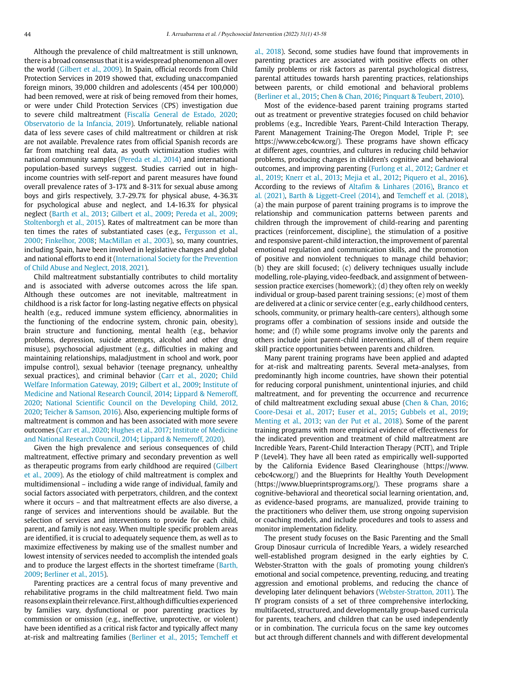Although the prevalence of child maltreatment is still unknown, there is a broad consensus that it is a widespread phenomenon all over the world (Gilbert et al., 2009). In Spain, official records from Child Protection Services in 2019 showed that, excluding unaccompanied foreign minors, 39,000 children and adolescents (454 per 100,000) had been removed, were at risk of being removed from their homes, or were under Child Protection Services (CPS) investigation due to severe child maltreatment (Fiscalía General de Estado, 2020; Observatorio de la Infancia, 2019). Unfortunately, reliable national data of less severe cases of child maltreatment or children at risk are not available. Prevalence rates from official Spanish records are far from matching real data, as youth victimization studies with national community samples (Pereda et al., 2014) and international population-based surveys suggest. Studies carried out in highincome countries with self-report and parent measures have found overall prevalence rates of 3-17% and 8-31% for sexual abuse among boys and girls respectively, 3.7-29.7% for physical abuse, 4-36.3% for psychological abuse and neglect, and 1.4-16.3% for physical neglect (Barth et al., 2013; Gilbert et al., 2009; Pereda et al., 2009; Stoltenborgh et al., 2015). Rates of maltreatment can be more than ten times the rates of substantiated cases (e.g., Fergusson et al., 2000; Finkelhor, 2008; MacMillan et al., 2003), so, many countries, including Spain, have been involved in legislative changes and global and national efforts to end it (International Society for the Prevention of Child Abuse and Neglect, 2018, 2021).

Child maltreatment substantially contributes to child mortality and is associated with adverse outcomes across the life span. Although these outcomes are not inevitable, maltreatment in childhood is a risk factor for long-lasting negative effects on physical health (e.g., reduced immune system efficiency, abnormalities in the functioning of the endocrine system, chronic pain, obesity), brain structure and functioning, mental health (e.g., behavior problems, depression, suicide attempts, alcohol and other drug misuse), psychosocial adjustment (e.g., difficulties in making and maintaining relationships, maladjustment in school and work, poor impulse control), sexual behavior (teenage pregnancy, unhealthy sexual practices), and criminal behavior (Carr et al., 2020; Child Welfare Information Gateway, 2019; Gilbert et al., 2009; Institute of Medicine and National Research Council, 2014; Lippard & Nemeroff, 2020; National Scientific Council on the Developing Child, 2012, 2020; Teicher & Samson, 2016). Also, experiencing multiple forms of maltreatment is common and has been associated with more severe outcomes (Carr et al., 2020; Hughes et al., 2017; Institute of Medicine and National Research Council, 2014; Lippard & Nemeroff, 2020).

Given the high prevalence and serious consequences of child maltreatment, effective primary and secondary prevention as well as therapeutic programs from early childhood are required (Gilbert et al., 2009). As the etiology of child maltreatment is complex and multidimensional – including a wide range of individual, family and social factors associated with perpetrators, children, and the context where it occurs – and that maltreatment effects are also diverse, a range of services and interventions should be available. But the selection of services and interventions to provide for each child, parent, and family is not easy. When multiple specific problem areas are identified, it is crucial to adequately sequence them, as well as to maximize effectiveness by making use of the smallest number and lowest intensity of services needed to accomplish the intended goals and to produce the largest effects in the shortest timeframe (Barth, 2009; Berliner et al., 2015).

Parenting practices are a central focus of many preventive and rehabilitative programs in the child maltreatment field. Two main reasons explain their relevance. First, although difficulties experienced by families vary, dysfunctional or poor parenting practices by commission or omission (e.g., ineffective, unprotective, or violent) have been identified as a critical risk factor and typically affect many at-risk and maltreating families (Berliner et al., 2015; Temcheff et

al., 2018). Second, some studies have found that improvements in parenting practices are associated with positive effects on other family problems or risk factors as parental psychological distress, parental attitudes towards harsh parenting practices, relationships between parents, or child emotional and behavioral problems (Berliner et al., 2015; Chen & Chan, 2016; Pinquart & Teubert, 2010).

Most of the evidence-based parent training programs started out as treatment or preventive strategies focused on child behavior problems (e.g., Incredible Years, Parent-Child Interaction Therapy, Parent Management Training-The Oregon Model, Triple P; see https://www.cebc4cw.org/). These programs have shown efficacy at different ages, countries, and cultures in reducing child behavior problems, producing changes in children's cognitive and behavioral outcomes, and improving parenting (Furlong et al., 2012; Gardner et al., 2019; Knerr et al., 2013; Mejia et al., 2012; Piquero et al., 2016). According to the reviews of Altafim & Linhares (2016), Branco et al. (2021), Barth & Liggett-Creel (2014), and Temcheff et al. (2018), (a) the main purpose of parent training programs is to improve the relationship and communication patterns between parents and children through the improvement of child-rearing and parenting practices (reinforcement, discipline), the stimulation of a positive and responsive parent-child interaction, the improvement of parental emotional regulation and communication skills, and the promotion of positive and nonviolent techniques to manage child behavior; (b) they are skill focused; (c) delivery techniques usually include modelling, role-playing, video-feedback, and assignment of betweensession practice exercises (homework); (d) they often rely on weekly individual or group-based parent training sessions; (e) most of them are delivered at a clinic or service center (e.g., early childhood centers, schools, community, or primary health-care centers), although some programs offer a combination of sessions inside and outside the home; and (f) while some programs involve only the parents and others include joint parent-child interventions, all of them require skill practice opportunities between parents and children.

Many parent training programs have been applied and adapted for at-risk and maltreating parents. Several meta-analyses, from predominantly high income countries, have shown their potential for reducing corporal punishment, unintentional injuries, and child maltreatment, and for preventing the occurrence and recurrence of child maltreatment excluding sexual abuse (Chen & Chan, 2016; Coore-Desai et al., 2017; Euser et al., 2015; Gubbels et al., 2019; Menting et al., 2013; van der Put et al., 2018). Some of the parent training programs with more empirical evidence of effectiveness for the indicated prevention and treatment of child maltreatment are Incredible Years, Parent-Child Interaction Therapy (PCIT), and Triple P (Level4). They have all been rated as empirically well-supported by the California Evidence Based Clearinghouse (https://www. cebc4cw.org/) and the Blueprints for Healthy Youth Development ([https://www.blueprintsprograms.org/\)](https://www.blueprintsprograms.org/). These programs share a cognitive-behavioral and theoretical social learning orientation, and, as evidence-based programs, are manualized, provide training to the practitioners who deliver them, use strong ongoing supervision or coaching models, and include procedures and tools to assess and monitor implementation fidelity.

The present study focuses on the Basic Parenting and the Small Group Dinosaur curricula of Incredible Years, a widely researched well-established program designed in the early eighties by C. Webster-Stratton with the goals of promoting young children's emotional and social competence, preventing, reducing, and treating aggression and emotional problems, and reducing the chance of developing later delinquent behaviors (Webster-Stratton, 2011). The IY program consists of a set of three comprehensive interlocking, multifaceted, structured, and developmentally group-based curricula for parents, teachers, and children that can be used independently or in combination. The curricula focus on the same key outcomes but act through different channels and with different developmental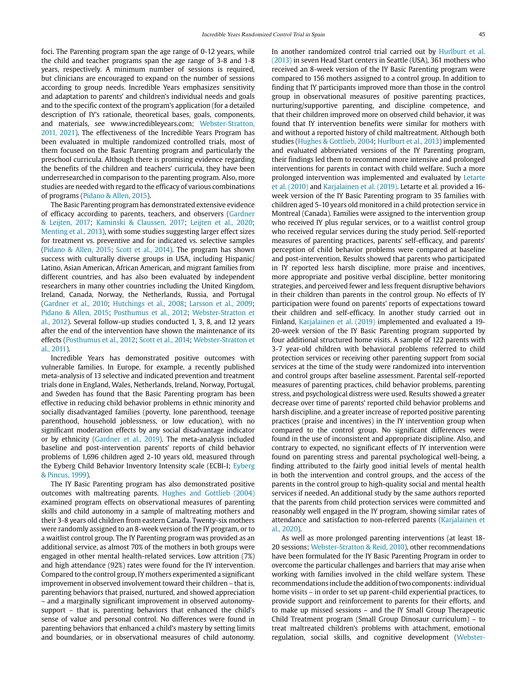foci. The Parenting program span the age range of 0-12 years, while the child and teacher programs span the age range of 3-8 and 1-8 years, respectively. A minimum number of sessions is required, but clinicians are encouraged to expand on the number of sessions according to group needs. Incredible Years emphasizes sensitivity and adaptation to parents' and children's individual needs and goals and to the specific context of the program's application (for a detailed description of IY's rationale, theoretical bases, goals, components, and materials, see [www.incredibleyears.com](http://www.incredibleyears.com); Webster-Stratton, 2011, 2021). The effectiveness of the Incredible Years Program has been evaluated in multiple randomized controlled trials, most of them focused on the Basic Parenting program and particularly the preschool curricula. Although there is promising evidence regarding the benefits of the children and teachers' curricula, they have been underresearched in comparison to the parenting program. Also, more studies are needed with regard to the efficacy of various combinations of programs (Pidano & Allen, 2015).

The Basic Parenting program has demonstrated extensive evidence of efficacy according to parents, teachers, and observers (Gardner & Leijten, 2017; Kaminski & Claussen, 2017; Leijten et al., 2020; Menting et al., 2013), with some studies suggesting larger effect sizes for treatment vs. preventive and for indicated vs. selective samples (Pidano & Allen, 2015; Scott et al., 2014). The program has shown success with culturally diverse groups in USA, including Hispanic/ Latino, Asian American, African American, and migrant families from different countries, and has also been evaluated by independent researchers in many other countries including the United Kingdom, Ireland, Canada, Norway, the Netherlands, Russia, and Portugal (Gardner et al., 2010; Hutchings et al., 2008; Larsson et al., 2009; Pidano & Allen, 2015; Posthumus et al., 2012; Webster-Stratton et al., 2012). Several follow-up studies conducted 1, 3, 8, and 12 years after the end of the intervention have shown the maintenance of its effects (Posthumus et al., 2012; Scott et al., 2014; Webster-Stratton et al., 2011).

Incredible Years has demonstrated positive outcomes with vulnerable families. In Europe, for example, a recently published meta-analysis of 13 selective and indicated prevention and treatment trials done in England, Wales, Netherlands, Ireland, Norway, Portugal, and Sweden has found that the Basic Parenting program has been effective in reducing child behavior problems in ethnic minority and socially disadvantaged families (poverty, lone parenthood, teenage parenthood, household joblessness, or low education), with no significant moderation effects by any social disadvantage indicator or by ethnicity (Gardner et al., 2019). The meta-analysis included baseline and post-intervention parents' reports of child behavior problems of 1,696 children aged 2-10 years old, measured through the Eyberg Child Behavior Inventory Intensity scale (ECBI-I; Eyberg & Pincus, 1999).

The IY Basic Parenting program has also demonstrated positive outcomes with maltreating parents. Hughes and Gottlieb (2004) examined program effects on observational measures of parenting skills and child autonomy in a sample of maltreating mothers and their 3-8 years old children from eastern Canada. Twenty-six mothers were randomly assigned to an 8-week version of the IY program, or to a waitlist control group. The IY Parenting program was provided as an additional service, as almost 70% of the mothers in both groups were engaged in other mental health-related services. Low attrition (7%) and high attendance (92%) rates were found for the IY intervention. Compared to the control group, IY mothers experimented a significant improvement in observed involvement toward their children – that is, parenting behaviors that praised, nurtured, and showed appreciation – and a marginally significant improvement in observed autonomysupport – that is, parenting behaviors that enhanced the child's sense of value and personal control. No differences were found in parenting behaviors that enhanced a child's mastery by setting limits and boundaries, or in observational measures of child autonomy. In another randomized control trial carried out by Hurlburt et al. (2013) in seven Head Start centers in Seattle (USA), 361 mothers who received an 8-week version of the IY Basic Parenting program were compared to 156 mothers assigned to a control group. In addition to finding that IY participants improved more than those in the control group in observational measures of positive parenting practices, nurturing/supportive parenting, and discipline competence, and that their children improved more on observed child behavior, it was found that IY intervention benefits were similar for mothers with and without a reported history of child maltreatment. Although both studies (Hughes & Gottlieb, 2004; Hurlburt et al., 2013) implemented and evaluated abbreviated versions of the IY Parenting program, their findings led them to recommend more intensive and prolonged interventions for parents in contact with child welfare. Such a more prolonged intervention was implemented and evaluated by Letarte et al. (2010) and Karjalainen et al. (2019). Letarte et al. provided a 16 week version of the IY Basic Parenting program to 35 families with children aged 5-10 years old monitored in a child protection service in Montreal (Canada). Families were assigned to the intervention group who received IY plus regular services, or to a waitlist control group who received regular services during the study period. Self-reported measures of parenting practices, parents' self-efficacy, and parents' perception of child behavior problems were compared at baseline and post-intervention. Results showed that parents who participated in IY reported less harsh discipline, more praise and incentives, more appropriate and positive verbal discipline, better monitoring strategies, and perceived fewer and less frequent disruptive behaviors in their children than parents in the control group. No effects of IY participation were found on parents' reports of expectations toward their children and self-efficacy. In another study carried out in Finland, Karjalainen et al. (2019) implemented and evaluated a 19- 20-week version of the IY Basic Parenting program supported by four additional structured home visits. A sample of 122 parents with 3-7 year-old children with behavioral problems referred to child protection services or receiving other parenting support from social services at the time of the study were randomized into intervention and control groups after baseline assessment. Parental self-reported measures of parenting practices, child behavior problems, parenting stress, and psychological distress were used. Results showed a greater decrease over time of parents' reported child behavior problems and harsh discipline, and a greater increase of reported positive parenting practices (praise and incentives) in the IY intervention group when compared to the control group. No significant differences were found in the use of inconsistent and appropriate discipline. Also, and contrary to expected, no significant effects of IY intervention were found on parenting stress and parental psychological well-being, a finding attributed to the fairly good initial levels of mental health in both the intervention and control groups, and the access of the parents in the control group to high-quality social and mental health services if needed. An additional study by the same authors reported that the parents from child protection services were committed and reasonably well engaged in the IY program, showing similar rates of attendance and satisfaction to non-referred parents (Karjalainen et al., 2020).

As well as more prolonged parenting interventions (at least 18- 20 sessions; Webster-Stratton & Reid, 2010), other recommendations have been formulated for the IY Basic Parenting Program in order to overcome the particular challenges and barriers that may arise when working with families involved in the child welfare system. These recommendations include the addition of two components: individual home visits – in order to set up parent-child experiential practices, to provide support and reinforcement to parents for their efforts, and to make up missed sessions – and the IY Small Group Therapeutic Child Treatment program (Small Group Dinosaur curriculum) – to treat maltreated children's problems with attachment, emotional regulation, social skills, and cognitive development (Webster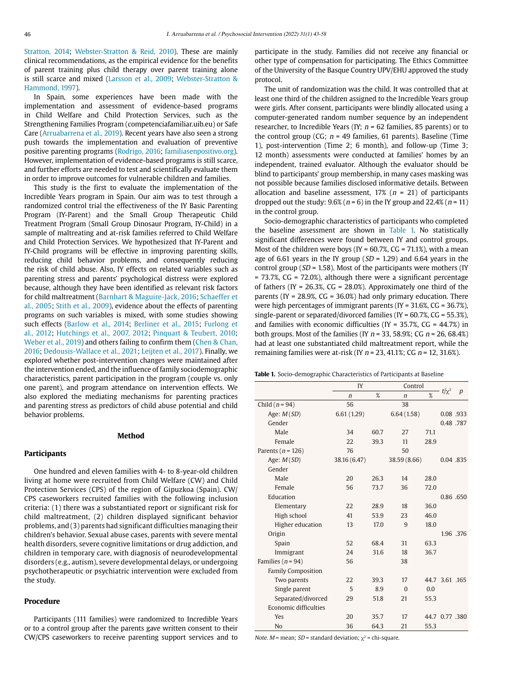Stratton, 2014; Webster-Stratton & Reid, 2010). These are mainly clinical recommendations, as the empirical evidence for the benefits of parent training plus child therapy over parent training alone is still scarce and mixed (Larsson et al., 2009; Webster-Stratton & Hammond, 1997).

In Spain, some experiences have been made with the implementation and assessment of evidence-based programs in Child Welfare and Child Protection Services, such as the Strengthening Families Program (competenciafamiliar.uib.eu) or Safe Care (Arruabarrena et al., 2019). Recent years have also seen a strong push towards the implementation and evaluation of preventive positive parenting programs (Rodrigo, 2016;<familiasenpositivo.org>). However, implementation of evidence-based programs is still scarce, and further efforts are needed to test and scientifically evaluate them in order to improve outcomes for vulnerable children and families.

This study is the first to evaluate the implementation of the Incredible Years program in Spain. Our aim was to test through a randomized control trial the effectiveness of the IY Basic Parenting Program (IY-Parent) and the Small Group Therapeutic Child Treatment Program (Small Group Dinosaur Program, IY-Child) in a sample of maltreating and at-risk families referred to Child Welfare and Child Protection Services. We hypothesized that IY-Parent and IY-Child programs will be effective in improving parenting skills, reducing child behavior problems, and consequently reducing the risk of child abuse. Also, IY effects on related variables such as parenting stress and parents' psychological distress were explored because, although they have been identified as relevant risk factors for child maltreatment (Barnhart & Maguire-Jack, 2016; Schaeffer et al., 2005; Stith et al., 2009), evidence about the effects of parenting programs on such variables is mixed, with some studies showing such effects (Barlow et al., 2014; Berliner et al., 2015; Furlong et al., 2012; Hutchings et al., 2007, 2012; Pinquart & Teubert, 2010; Weber et al., 2019) and others failing to confirm them (Chen & Chan, 2016; Dedousis-Wallace et al., 2021; Leijten et al., 2017). Finally, we explored whether post-intervention changes were maintained after the intervention ended, and the influence of family sociodemographic characteristics, parent participation in the program (couple vs. only one parent), and program attendance on intervention effects. We also explored the mediating mechanisms for parenting practices and parenting stress as predictors of child abuse potential and child behavior problems.

#### **Method**

## **Participants**

One hundred and eleven families with 4- to 8-year-old children living at home were recruited from Child Welfare (CW) and Child Protection Services (CPS) of the region of Gipuzkoa (Spain). CW/ CPS caseworkers recruited families with the following inclusion criteria: (1) there was a substantiated report or significant risk for child maltreatment, (2) children displayed significant behavior problems, and (3) parents had significant difficulties managing their children's behavior. Sexual abuse cases, parents with severe mental health disorders, severe cognitive limitations or drug addiction, and children in temporary care, with diagnosis of neurodevelopmental disorders (e.g., autism), severe developmental delays, or undergoing psychotherapeutic or psychiatric intervention were excluded from the study.

## **Procedure**

Participants (111 families) were randomized to Incredible Years or to a control group after the parents gave written consent to their CW/CPS caseworkers to receive parenting support services and to participate in the study. Families did not receive any financial or other type of compensation for participating. The Ethics Committee of the University of the Basque Country UPV/EHU approved the study protocol.

The unit of randomization was the child. It was controlled that at least one third of the children assigned to the Incredible Years group were girls. After consent, participants were blindly allocated using a computer-generated random number sequence by an independent researcher, to Incredible Years (IY;  $n = 62$  families, 85 parents) or to the control group (CG;  $n = 49$  families, 61 parents). Baseline (Time 1), post-intervention (Time 2; 6 month), and follow-up (Time 3; 12 month) assessments were conducted at families' homes by an independent, trained evaluator. Although the evaluator should be blind to participants' group membership, in many cases masking was not possible because families disclosed informative details. Between allocation and baseline assessment,  $17\%$  ( $n = 21$ ) of participants dropped out the study:  $9.6\%$  ( $n = 6$ ) in the IY group and 22.4% ( $n = 11$ ) in the control group.

Socio-demographic characteristics of participants who completed the baseline assessment are shown in Table 1. No statistically significant differences were found between IY and control groups. Most of the children were boys (IY =  $60.7\%$ , CG =  $71.1\%$ ), with a mean age of 6.61 years in the IY group ( $SD = 1.29$ ) and 6.64 years in the control group ( $SD = 1.58$ ). Most of the participants were mothers (IY  $= 73.7\%$ , CG = 72.0%), although there were a significant percentage of fathers (IY =  $26.3\%$ , CG =  $28.0\%$ ). Approximately one third of the parents (IY =  $28.9\%$ , CG =  $36.0\%$ ) had only primary education. There were high percentages of immigrant parents (IY = 31.6%, CG = 36.7%), single-parent or separated/divorced families (IY =  $60.7\%$ , CG =  $55.3\%$ ). and families with economic difficulties ( $IV = 35.7\%$ ,  $CG = 44.7\%$ ) in both groups. Most of the families (IY  $n = 33, 58.9\%$ ; CG  $n = 26, 68.4\%$ ) had at least one substantiated child maltreatment report, while the remaining families were at-risk (IY  $n = 23$ , 41.1%; CG  $n = 12$ , 31.6%).

**Table 1.** Socio-demographic Characteristics of Participants at Baseline

|                           | IY           |      | Control      |      |                |                  |
|---------------------------|--------------|------|--------------|------|----------------|------------------|
|                           | $\mathbf n$  | %    | $\mathsf{n}$ | %    | $t/\chi^2$     | $\boldsymbol{p}$ |
| Child $(n = 94)$          | 56           |      | 38           |      |                |                  |
| Age: $M(SD)$              | 6.61(1.29)   |      | 6.64(1.58)   |      | 0.08.933       |                  |
| Gender                    |              |      |              |      | 0.48.787       |                  |
| Male                      | 34           | 60.7 | 27           | 71.1 |                |                  |
| Female                    | 22           | 39.3 | 11           | 28.9 |                |                  |
| Parents ( $n = 126$ )     | 76           |      | 50           |      |                |                  |
| Age: $M(SD)$              | 38.16 (6.47) |      | 38.59 (8.66) |      | 0.04 .835      |                  |
| Gender                    |              |      |              |      |                |                  |
| Male                      | 20           | 26.3 | 14           | 28.0 |                |                  |
| Female                    | 56           | 73.7 | 36           | 72.0 |                |                  |
| Education                 |              |      |              |      | 0.86 .650      |                  |
| Elementary                | 22           | 28.9 | 18           | 36.0 |                |                  |
| High school               | 41           | 53.9 | 23           | 46.0 |                |                  |
| Higher education          | 13           | 17.0 | $\mathbf{q}$ | 18.0 |                |                  |
| Origin                    |              |      |              |      |                | 1.96 .376        |
| Spain                     | 52           | 68.4 | 31           | 63.3 |                |                  |
| Immigrant                 | 24           | 31.6 | 18           | 36.7 |                |                  |
| Families ( $n = 94$ )     | 56           |      | 38           |      |                |                  |
| <b>Family Composition</b> |              |      |              |      |                |                  |
| Two parents               | 22           | 39.3 | 17           |      | 44.7 3.61 .165 |                  |
| Single parent             | 5            | 8.9  | $\Omega$     | 0.0  |                |                  |
| Separated/divorced        | 29           | 51.8 | 21           | 55.3 |                |                  |
| Economic difficulties     |              |      |              |      |                |                  |
| <b>Yes</b>                | 20           | 35.7 | 17           |      | 44.7 0.77 .380 |                  |
| N <sub>0</sub>            | 36           | 64.3 | 21           | 55.3 |                |                  |

*Note. M* = mean; *SD* = standard deviation;  $\chi^2$  = chi-square.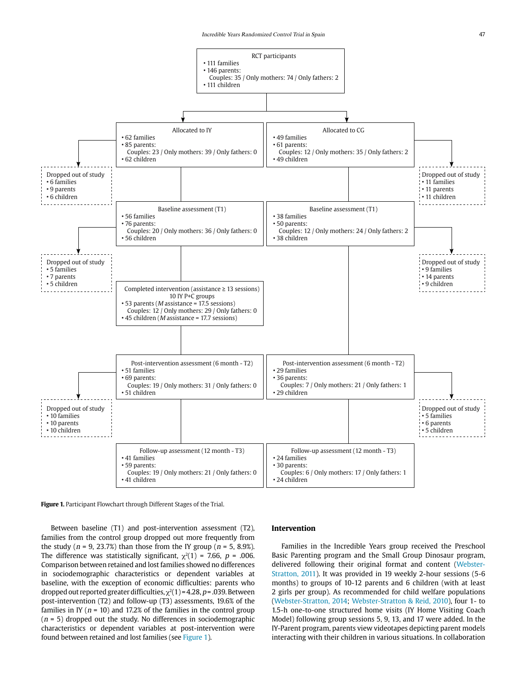

**Figure 1.** Participant Flowchart through Different Stages of the Trial.

Between baseline (T1) and post-intervention assessment (T2), families from the control group dropped out more frequently from the study ( $n = 9$ , 23.7%) than those from the IY group ( $n = 5$ , 8.9%). The difference was statistically significant,  $\chi^2(1)$  = 7.66, p = .006. Comparison between retained and lost families showed no differences in sociodemographic characteristics or dependent variables at baseline, with the exception of economic difficulties: parents who dropped out reported greater difficulties,  $\chi^2(1)$  = 4.28, p = .039. Between post-intervention (T2) and follow-up (T3) assessments, 19.6% of the families in IY ( $n = 10$ ) and 17.2% of the families in the control group  $(n = 5)$  dropped out the study. No differences in sociodemographic characteristics or dependent variables at post-intervention were found between retained and lost families (see Figure 1).

#### **Intervention**

Families in the Incredible Years group received the Preschool Basic Parenting program and the Small Group Dinosaur program, delivered following their original format and content (Webster-Stratton, 2011). It was provided in 19 weekly 2-hour sessions (5-6 months) to groups of 10-12 parents and 6 children (with at least 2 girls per group). As recommended for child welfare populations (Webster-Stratton, 2014; Webster-Stratton & Reid, 2010), four 1- to 1.5-h one-to-one structured home visits (IY Home Visiting Coach Model) following group sessions 5, 9, 13, and 17 were added. In the IY-Parent program, parents view videotapes depicting parent models interacting with their children in various situations. In collaboration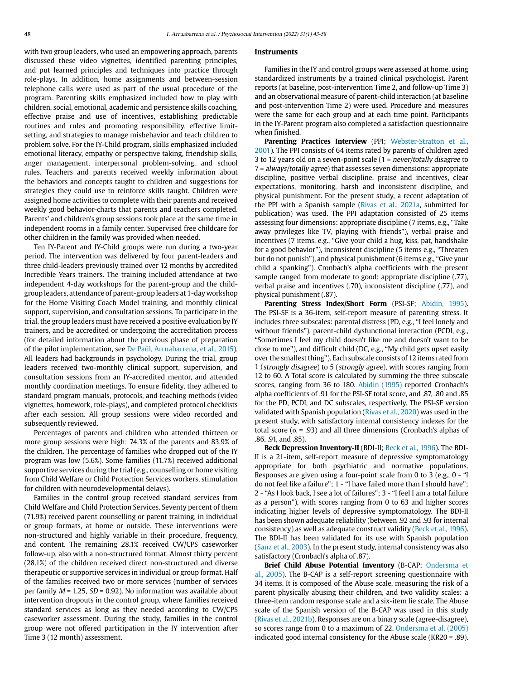with two group leaders, who used an empowering approach, parents discussed these video vignettes, identified parenting principles, and put learned principles and techniques into practice through role-plays. In addition, home assignments and between-session telephone calls were used as part of the usual procedure of the program. Parenting skills emphasized included how to play with children, social, emotional, academic and persistence skills coaching, effective praise and use of incentives, establishing predictable routines and rules and promoting responsibility, effective limitsetting, and strategies to manage misbehavior and teach children to problem solve. For the IY-Child program, skills emphasized included emotional literacy, empathy or perspective taking, friendship skills, anger management, interpersonal problem-solving, and school rules. Teachers and parents received weekly information about the behaviors and concepts taught to children and suggestions for strategies they could use to reinforce skills taught. Children were assigned home activities to complete with their parents and received weekly good behavior-charts that parents and teachers completed. Parents' and children's group sessions took place at the same time in independent rooms in a family center. Supervised free childcare for other children in the family was provided when needed.

Ten IY-Parent and IY-Child groups were run during a two-year period. The intervention was delivered by four parent-leaders and three child-leaders previously trained over 12 months by accredited Incredible Years trainers. The training included attendance at two independent 4-day workshops for the parent-group and the childgroup leaders, attendance of parent-group leaders at 1-day workshop for the Home Visiting Coach Model training, and monthly clinical support, supervision, and consultation sessions. To participate in the trial, the group leaders must have received a positive evaluation by IY trainers, and be accredited or undergoing the accreditation process (for detailed information about the previous phase of preparation of the pilot implementation, see De Paúl, Arruabarrena, et al., 2015). All leaders had backgrounds in psychology. During the trial, group leaders received two-monthly clinical support, supervision, and consultation sessions from an IY-accredited mentor, and attended monthly coordination meetings. To ensure fidelity, they adhered to standard program manuals, protocols, and teaching methods (video vignettes, homework, role-plays), and completed protocol checklists after each session. All group sessions were video recorded and subsequently reviewed.

Percentages of parents and children who attended thirteen or more group sessions were high: 74.3% of the parents and 83.9% of the children. The percentage of families who dropped out of the IY program was low (5.6%). Some families (11.7%) received additional supportive services during the trial (e.g., counselling or home visiting from Child Welfare or Child Protection Services workers, stimulation for children with neurodevelopmental delays).

Families in the control group received standard services from Child Welfare and Child Protection Services. Seventy percent of them (71.9%) received parent counselling or parent training, in individual or group formats, at home or outside. These interventions were non-structured and highly variable in their procedure, frequency, and content. The remaining 28.1% received CW/CPS caseworker follow-up, also with a non-structured format. Almost thirty percent (28.1%) of the children received direct non-structured and diverse therapeutic or supportive services in individual or group format. Half of the families received two or more services (number of services per family  $M = 1.25$ ,  $SD = 0.92$ ). No information was available about intervention dropouts in the control group, where families received standard services as long as they needed according to CW/CPS caseworker assessment. During the study, families in the control group were not offered participation in the IY intervention after Time 3 (12 month) assessment.

#### **Instruments**

Families in the IY and control groups were assessed at home, using standardized instruments by a trained clinical psychologist. Parent reports (at baseline, post-intervention Time 2, and follow-up Time 3) and an observational measure of parent-child interaction (at baseline and post-intervention Time 2) were used. Procedure and measures were the same for each group and at each time point. Participants in the IY-Parent program also completed a satisfaction questionnaire when finished.

**Parenting Practices Interview** (PPI: Webster-Stratton et al., 2001). The PPI consists of 64 items rated by parents of children aged 3 to 12 years old on a seven-point scale (1 = never/totally disagree to 7 = always/totally agree) that assesses seven dimensions: appropriate discipline, positive verbal discipline, praise and incentives, clear expectations, monitoring, harsh and inconsistent discipline, and physical punishment. For the present study, a recent adaptation of the PPI with a Spanish sample (Rivas et al., 2021a, submitted for publication) was used. The PPI adaptation consisted of 25 items assessing four dimensions: appropriate discipline (7 items, e.g., "Take away privileges like TV, playing with friends"), verbal praise and incentives (7 items, e.g., "Give your child a hug, kiss, pat, handshake for a good behavior"), inconsistent discipline (5 items e.g., "Threaten but do not punish"), and physical punishment (6 items e.g., "Give your child a spanking"). Cronbach's alpha coefficients with the present sample ranged from moderate to good: appropriate discipline (.77), verbal praise and incentives (.70), inconsistent discipline (.77), and physical punishment (.87).

**Parenting Stress Index/Short Form** (PSI-SF; Abidin, 1995). The PSI-SF is a 36-item, self-report measure of parenting stress. It includes three subscales: parental distress (PD, e.g., "I feel lonely and without friends"), parent-child dysfunctional interaction (PCDI, e.g., "Sometimes I feel my child doesn't like me and doesn't want to be close to me"), and difficult child (DC, e.g., "My child gets upset easily over the smallest thing"). Each subscale consists of 12 items rated from 1 (strongly disagree) to 5 (strongly agree), with scores ranging from 12 to 60. A Total score is calculated by summing the three subscale scores, ranging from 36 to 180. Abidin (1995) reported Cronbach's alpha coefficients of .91 for the PSI-SF total score, and .87, .80 and .85 for the PD, PCDI, and DC subscales, respectively. The PSI-SF version validated with Spanish population (Rivas et al., 2020) was used in the present study, with satisfactory internal consistency indexes for the total score ( $\alpha$  = .93) and all three dimensions (Cronbach's alphas of .86, .91, and .85).

**Beck Depression Inventory-II** (BDI-II; Beck et al., 1996). The BDI-II is a 21-item, self-report measure of depressive symptomatology appropriate for both psychiatric and normative populations. Responses are given using a four-point scale from 0 to 3 (e.g., 0 - "I do not feel like a failure"; 1 - "I have failed more than I should have"; 2 - "As I look back, I see a lot of failures"; 3 - "I feel I am a total failure as a person"), with scores ranging from 0 to 63 and higher scores indicating higher levels of depressive symptomatology. The BDI-II has been shown adequate reliability (between .92 and .93 for internal consistency) as well as adequate construct validity (Beck et al., 1996). The BDI-II has been validated for its use with Spanish population (Sanz et al., 2003). In the present study, internal consistency was also satisfactory (Cronbach's alpha of .87).

**Brief Child Abuse Potential Inventory** (B-CAP; Ondersma et al., 2005). The B-CAP is a self-report screening questionnaire with 34 items. It is composed of the Abuse scale, measuring the risk of a parent physically abusing their children, and two validity scales: a three-item random response scale and a six-item lie scale. The Abuse scale of the Spanish version of the B-CAP was used in this study (Rivas et al., 2021b). Responses are on a binary scale (agree-disagree), so scores range from 0 to a maximum of 22. Ondersma et al. (2005) indicated good internal consistency for the Abuse scale (KR20 = .89).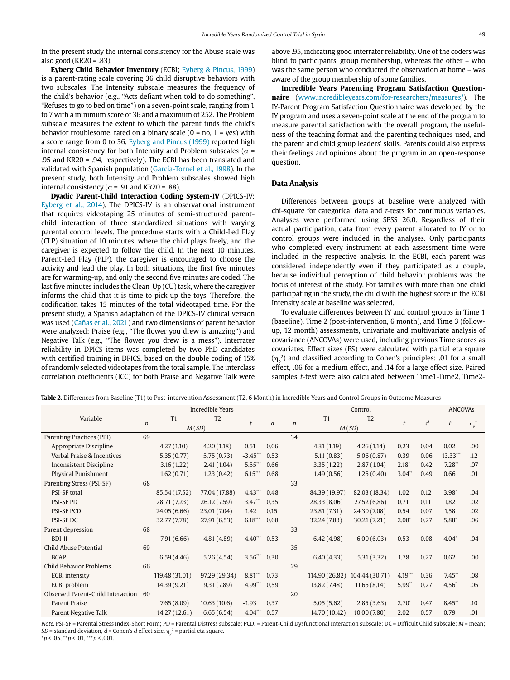In the present study the internal consistency for the Abuse scale was also good (KR20 =  $.83$ ).

**Eyberg Child Behavior Inventory** (ECBI; Eyberg & Pincus, 1999) is a parent-rating scale covering 36 child disruptive behaviors with two subscales. The Intensity subscale measures the frequency of the child's behavior (e.g., "Acts defiant when told to do something", "Refuses to go to bed on time") on a seven-point scale, ranging from 1 to 7 with a minimum score of 36 and a maximum of 252. The Problem subscale measures the extent to which the parent finds the child's behavior troublesome, rated on a binary scale  $(0 = no, 1 = yes)$  with a score range from 0 to 36. Eyberg and Pincus (1999) reported high internal consistency for both Intensity and Problem subscales ( $\alpha$  = .95 and KR20 = .94, respectively). The ECBI has been translated and validated with Spanish population (García-Tornel et al., 1998). In the present study, both Intensity and Problem subscales showed high internal consistency ( $\alpha$  = .91 and KR20 = .88).

**Dyadic Parent-Child Interaction Coding System-IV** (DPICS-IV; Eyberg et al., 2014). The DPICS-IV is an observational instrument that requires videotaping 25 minutes of semi-structured parentchild interaction of three standardized situations with varying parental control levels. The procedure starts with a Child-Led Play (CLP) situation of 10 minutes, where the child plays freely, and the caregiver is expected to follow the child. In the next 10 minutes, Parent-Led Play (PLP), the caregiver is encouraged to choose the activity and lead the play. In both situations, the first five minutes are for warming-up, and only the second five minutes are coded. The last five minutes includes the Clean-Up (CU) task, where the caregiver informs the child that it is time to pick up the toys. Therefore, the codification takes 15 minutes of the total videotaped time. For the present study, a Spanish adaptation of the DPICS-IV clinical version was used (Cañas et al., 2021) and two dimensions of parent behavior were analyzed: Praise (e.g., "The flower you drew is amazing") and Negative Talk (e.g., "The flower you drew is a mess"). Interrater reliability in DPICS items was completed by two PhD candidates with certified training in DPICS, based on the double coding of 15% of randomly selected videotapes from the total sample. The interclass correlation coefficients (ICC) for both Praise and Negative Talk were

above .95, indicating good interrater reliability. One of the coders was blind to participants' group membership, whereas the other – who was the same person who conducted the observation at home – was aware of the group membership of some families.

**Incredible Years Parenting Program Satisfaction Questionnaire** [\(www.incredibleyears.com/for-researchers/measures/](www.incredibleyears.com/for-researchers/measures/)). The IY-Parent Program Satisfaction Questionnaire was developed by the IY program and uses a seven-point scale at the end of the program to measure parental satisfaction with the overall program, the usefulness of the teaching format and the parenting techniques used, and the parent and child group leaders' skills. Parents could also express their feelings and opinions about the program in an open-response question.

## **Data Analysis**

Differences between groups at baseline were analyzed with chi-square for categorical data and t-tests for continuous variables. Analyses were performed using SPSS 26.0. Regardless of their actual participation, data from every parent allocated to IY or to control groups were included in the analyses. Only participants who completed every instrument at each assessment time were included in the respective analysis. In the ECBI, each parent was considered independently even if they participated as a couple, because individual perception of child behavior problems was the focus of interest of the study. For families with more than one child participating in the study, the child with the highest score in the ECBI Intensity scale at baseline was selected.

To evaluate differences between IY and control groups in Time 1 (baseline), Time 2 (post-intervention, 6 month), and Time 3 (followup, 12 month) assessments, univariate and multivariate analysis of covariance (ANCOVAs) were used, including previous Time scores as covariates. Effect sizes (ES) were calculated with partial eta square  $(\eta_{\rm p}^{\rm 2})$  and classified according to Cohen's principles: .01 for a small effect, .06 for a medium effect, and .14 for a large effect size. Paired samples t-test were also calculated between Time1-Time2, Time2-

|  |  | <b>Table 2.</b> Differences from Baseline (T1) to Post-intervention Assessment (T2, 6 Month) in Incredible Years and Control Groups in Outcome Measures |  |  |  |  |  |  |  |  |  |  |  |  |  |  |
|--|--|---------------------------------------------------------------------------------------------------------------------------------------------------------|--|--|--|--|--|--|--|--|--|--|--|--|--|--|
|--|--|---------------------------------------------------------------------------------------------------------------------------------------------------------|--|--|--|--|--|--|--|--|--|--|--|--|--|--|

|                                      |    |                | Incredible Years |                       |      |                  | <b>ANCOVAs</b> |                |                  |      |                        |     |
|--------------------------------------|----|----------------|------------------|-----------------------|------|------------------|----------------|----------------|------------------|------|------------------------|-----|
| Variable                             |    | T1             | T <sub>2</sub>   |                       | d    | $\boldsymbol{n}$ | T1             | T <sub>2</sub> | $\mathbf{f}$     | d    | F                      |     |
|                                      |    | M(SD)          |                  |                       |      |                  | M(SD)          |                |                  |      | $\eta_{\rm p}^{\;\;2}$ |     |
| Parenting Practices (PPI)            | 69 |                |                  |                       |      | 34               |                |                |                  |      |                        |     |
| Appropriate Discipline               |    | 4.27(1.10)     | 4.20(1.18)       | 0.51                  | 0.06 |                  | 4.31(1.19)     | 4.26(1.14)     | 0.23             | 0.04 | 0.02                   | .00 |
| Verbal Praise & Incentives           |    | 5.35(0.77)     | 5.75(0.73)       | $-3.45$ ***           | 0.53 |                  | 5.11(0.83)     | 5.06(0.87)     | 0.39             | 0.06 | 13.33"                 | .12 |
| <b>Inconsistent Discipline</b>       |    | 3.16(1.22)     | 2.41(1.04)       | $5.55$ <sup>***</sup> | 0.66 |                  | 3.35(1.22)     | 2.87(1.04)     | $2.18^{\degree}$ | 0.42 | 7.28                   | .07 |
| <b>Physical Punishment</b>           |    | 1.62(0.71)     | 1.23(0.42)       | $6.15$ ***            | 0.68 |                  | 1.49(0.56)     | 1.25(0.40)     | 3.04"            | 0.49 | 0.66                   | .01 |
| Parenting Stress (PSI-SF)            | 68 |                |                  |                       |      | 33               |                |                |                  |      |                        |     |
| <b>PSI-SF</b> total                  |    | 85.54 (17.52)  | 77.04 (17.88)    | $4.43$ <sup>***</sup> | 0.48 |                  | 84.39 (19.97)  | 82.03 (18.34)  | 1.02             | 0.12 | $3.98^{\degree}$       | .04 |
| <b>PSI-SFPD</b>                      |    | 28.71 (7.23)   | 26.12(7.59)      | $3.47$ **             | 0.35 |                  | 28.33(8.06)    | 27.52 (6.86)   | 0.71             | 0.11 | 1.82                   | .02 |
| <b>PSI-SF PCDI</b>                   |    | 24.05 (6.66)   | 23.01 (7.04)     | 1.42                  | 0.15 |                  | 23.81 (7.31)   | 24.30 (7.08)   | 0.54             | 0.07 | 1.58                   | .02 |
| <b>PSI-SF DC</b>                     |    | 32.77 (7.78)   | 27.91 (6.53)     | 6.18                  | 0.68 |                  | 32.24 (7.83)   | 30.21 (7.21)   | $2.08^{\circ}$   | 0.27 | 5.88                   | .06 |
| Parent depression                    | 68 |                |                  |                       |      | 33               |                |                |                  |      |                        |     |
| <b>BDI-II</b>                        |    | 7.91(6.66)     | 4.81(4.89)       | 4.40" 0.53            |      |                  | 6.42(4.98)     | 6.00(6.03)     | 0.53             | 0.08 | $4.04^{\circ}$         | .04 |
| Child Abuse Potential                | 69 |                |                  |                       |      | 35               |                |                |                  |      |                        |     |
| <b>BCAP</b>                          |    | 6.59(4.46)     | 5.26(4.54)       | $3.56$ $\cdot$        | 0.30 |                  | 6.40(4.33)     | 5.31(3.32)     | 1.78             | 0.27 | 0.62                   | .00 |
| <b>Child Behavior Problems</b>       | 66 |                |                  |                       |      | 29               |                |                |                  |      |                        |     |
| <b>ECBI</b> intensity                |    | 119.48 (31.01) | 97.29 (29.34)    | 8.81                  | 0.73 |                  | 114.90 (26.82) | 104.44 (30.71) | 4.19             | 0.36 | 7.45"                  | .08 |
| ECBI problem                         |    | 14.39 (9.21)   | 9.31(7.89)       | $4.99$ <sup>***</sup> | 0.59 |                  | 13.82 (7.48)   | 11.65(8.14)    | 5.99"            | 0.27 | 4.56                   | .05 |
| Observed Parent-Child Interaction 60 |    |                |                  |                       |      | 20               |                |                |                  |      |                        |     |
| <b>Parent Praise</b>                 |    | 7.65(8.09)     | 10.63(10.6)      | $-1.93$               | 0.37 |                  | 5.05(5.62)     | 2.85(3.63)     | $2.70^{\circ}$   | 0.47 | 8.45"                  | .10 |
| Parent Negative Talk                 |    | 14.27 (12.61)  | 6.65(6.54)       | $4.04$ ***            | 0.57 |                  | 14.70 (10.42)  | 10.00(7.80)    | 2.02             | 0.57 | 0.79                   | .01 |

Note. PSI-SF = Parental Stress Index-Short Form; PD = Parental Distress subscale; PCDI = Parent-Child Dysfunctional Interaction subscale; DC = Difficult Child subscale; M = mean; SD = standard deviation, *d* = Cohen's *d* effect size,  $\eta_\text{\tiny{p}}^{\phantom{\text{o}}^2}$  = partial eta square.

 $**p* < .05, ***p* < .01, ***p* < .001.$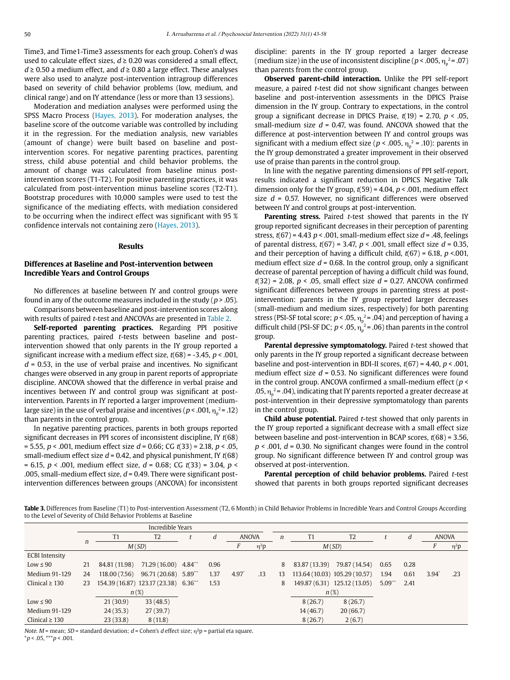Time3, and Time1-Time3 assessments for each group. Cohen's d was used to calculate effect sizes,  $d \geq 0.20$  was considered a small effect,  $d \ge 0.50$  a medium effect, and  $d \ge 0.80$  a large effect. These analyses were also used to analyze post-intervention intragroup differences based on severity of child behavior problems (low, medium, and clinical range) and on IY attendance (less or more than 13 sessions).

Moderation and mediation analyses were performed using the SPSS Macro Process (Hayes, 2013). For moderation analyses, the baseline score of the outcome variable was controlled by including it in the regression. For the mediation analysis, new variables (amount of change) were built based on baseline and postintervention scores. For negative parenting practices, parenting stress, child abuse potential and child behavior problems, the amount of change was calculated from baseline minus postintervention scores (T1-T2). For positive parenting practices, it was calculated from post-intervention minus baseline scores (T2-T1). Bootstrap procedures with 10,000 samples were used to test the significance of the mediating effects, with mediation considered to be occurring when the indirect effect was significant with 95 % confidence intervals not containing zero (Hayes, 2013).

#### **Results**

## **Differences at Baseline and Post-intervention between Incredible Years and Control Groups**

No differences at baseline between IY and control groups were found in any of the outcome measures included in the study ( $p > .05$ ).

Comparisons between baseline and post-intervention scores along with results of paired *t*-test and ANCOVAs are presented in Table 2.

**Self-reported parenting practices.** Regarding PPI positive parenting practices, paired t-tests between baseline and postintervention showed that only parents in the IY group reported a significant increase with a medium effect size,  $t(68) = -3.45$ ,  $p < .001$ ,  $d = 0.53$ , in the use of verbal praise and incentives. No significant changes were observed in any group in parent reports of appropriate discipline. ANCOVA showed that the difference in verbal praise and incentives between IY and control group was significant at postintervention. Parents in IY reported a larger improvement (mediumlarge size) in the use of verbal praise and incentives (  $p$  < .001,  $\eta_{\rm p}^{\;\;\;\;\;\;2}$  .12 ) than parents in the control group.

In negative parenting practices, parents in both groups reported significant decreases in PPI scores of inconsistent discipline, IY  $t(68)$  $= 5.55, p < .001$ , medium effect size  $d = 0.66$ ; CG  $t(33) = 2.18, p < .05$ , small-medium effect size  $d = 0.42$ , and physical punishment, IY  $t(68)$ = 6.15,  $p$  < .001, medium effect size,  $d$  = 0.68; CG  $t(33)$  = 3.04,  $p$  < .005, small-medium effect size,  $d = 0.49$ . There were significant postintervention differences between groups (ANCOVA) for inconsistent

discipline: parents in the IY group reported a larger decrease (medium size) in the use of inconsistent discipline ( $p$  < .005,  $\eta_{\rm p}^{\rm \; 2}$  = .07) than parents from the control group.

**Observed parent-child interaction.** Unlike the PPI self-report measure, a paired t-test did not show significant changes between baseline and post-intervention assessments in the DPICS Praise dimension in the IY group. Contrary to expectations, in the control group a significant decrease in DPICS Praise,  $t(19) = 2.70$ ,  $p < .05$ , small-medium size  $d = 0.47$ , was found. ANCOVA showed that the difference at post-intervention between IY and control groups was significant with a medium effect size ( $p < .005$ ,  $\eta_p^2 = .10$ ): parents in the IY group demonstrated a greater improvement in their observed use of praise than parents in the control group.

In line with the negative parenting dimensions of PPI self-report, results indicated a significant reduction in DPICS Negative Talk dimension only for the IY group,  $t(59) = 4.04$ ,  $p < .001$ , medium effect size  $d = 0.57$ . However, no significant differences were observed between IY and control groups at post-intervention.

Parenting stress. Paired t-test showed that parents in the IY group reported significant decreases in their perception of parenting stress,  $t(67) = 4.43$   $p < .001$ , small-medium effect size  $d = .48$ , feelings of parental distress,  $t(67) = 3.47$ ,  $p < .001$ , small effect size  $d = 0.35$ , and their perception of having a difficult child,  $t(67) = 6.18$ ,  $p < .001$ , medium effect size  $d = 0.68$ . In the control group, only a significant decrease of parental perception of having a difficult child was found,  $t(32) = 2.08$ ,  $p < .05$ , small effect size  $d = 0.27$ . ANCOVA confirmed significant differences between groups in parenting stress at postintervention: parents in the IY group reported larger decreases (small-medium and medium sizes, respectively) for both parenting stress (PSI-SF total score;  $p < .05$ ,  $\eta_{p}^{2} = .04$ ) and perception of having a difficult child (PSI-SF DC;  $p < .05$ ,  $\eta_p^2 = .06$ ) than parents in the control group.

Parental depressive symptomatology. Paired t-test showed that only parents in the IY group reported a significant decrease between baseline and post-intervention in BDI-II scores,  $t(67) = 4.40$ ,  $p < .001$ , medium effect size  $d = 0.53$ . No significant differences were found in the control group. ANCOVA confirmed a small-medium effect ( $p \le$ .05,  $\eta_{\text{p}}^{\text{2}}$  = .04), indicating that IY parents reported a greater decrease at post-intervention in their depressive symptomatology than parents in the control group.

**Child abuse potential.** Paired *t*-test showed that only parents in the IY group reported a significant decrease with a small effect size between baseline and post-intervention in BCAP scores,  $t(68) = 3.56$ ,  $p < .001$ ,  $d = 0.30$ . No significant changes were found in the control group. No significant difference between IY and control group was observed at post-intervention.

**Parental perception of child behavior problems.** Paired t-test showed that parents in both groups reported significant decreases

**Table 3.** Differences from Baseline (T1) to Post-intervention Assessment (T2, 6 Month) in Child Behavior Problems in Incredible Years and Control Groups According to the Level of Severity of Child Behavior Problems at Baseline

|                       | Incredible Years |                               |                                     |  |      |                            |     |        |                |                               |                       |      |                  |            |
|-----------------------|------------------|-------------------------------|-------------------------------------|--|------|----------------------------|-----|--------|----------------|-------------------------------|-----------------------|------|------------------|------------|
|                       |                  | T1<br>T <sub>2</sub><br>M(SD) |                                     |  | d    | <b>ANOVA</b><br>$\eta^2 p$ |     | $\eta$ | T <sub>1</sub> | T <sub>2</sub>                |                       |      | <b>ANOVA</b>     |            |
|                       | $\boldsymbol{n}$ |                               |                                     |  |      |                            |     |        |                | M(SD)                         |                       |      |                  | $\eta^2$ p |
| <b>ECBI</b> Intensity |                  |                               |                                     |  |      |                            |     |        |                |                               |                       |      |                  |            |
| $Low \leq 90$         | 21               | 84.81 (11.98)                 | 71.29 (16.00) 4.84***               |  | 0.96 |                            |     | 8      | 83.87 (13.39)  | 79.87 (14.54)                 | 0.65                  | 0.28 |                  |            |
| Medium 91-129         | 24               | 118.00(7.56)                  | 96.71 (20.68) 5.89***               |  | 1.37 | $4.97^{\circ}$             | .13 | 13     |                | 113.64 (10.03) 105.29 (10.57) | 1.94                  | 0.61 | $3.94^{\degree}$ | .23        |
| Clinical $\geq$ 130   | 23               |                               | 154.39 (16.87) 123.17 (23.38) 6.36" |  | 1.53 |                            |     | 8      |                | 149.87 (6.31) 125.12 (13.05)  | $5.09$ <sup>***</sup> | 2.41 |                  |            |
|                       |                  |                               | $n(\%)$                             |  |      |                            |     |        |                | $n(\%)$                       |                       |      |                  |            |
| $Low \leq 90$         |                  | 21(30.9)                      | 33(48.5)                            |  |      |                            |     |        | 8(26.7)        | 8(26.7)                       |                       |      |                  |            |
| Medium 91-129         |                  | 24(35.3)                      | 27(39.7)                            |  |      |                            |     |        | 14(46.7)       | 20(66.7)                      |                       |      |                  |            |
| Clinical $\geq$ 130   |                  | 23(33.8)                      | 8(11.8)                             |  |      |                            |     |        | 8(26.7)        | 2(6.7)                        |                       |      |                  |            |

Note. M = mean: SD = standard deviation:  $d$  = Cohen's d effect size;  $n^2p$  = partial eta square.  $*p < .05, **p < .001.$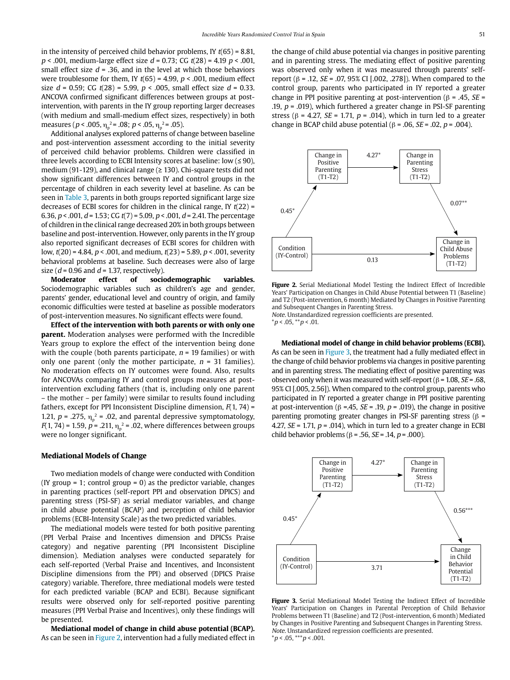in the intensity of perceived child behavior problems, IY  $t(65) = 8.81$ ,  $p < .001$ , medium-large effect size  $d = 0.73$ ; CG  $t(28) = 4.19$   $p < .001$ . small effect size  $d = 0.36$ , and in the level at which those behaviors were troublesome for them, IY  $t(65) = 4.99$ ,  $p < .001$ , medium effect size  $d = 0.59$ ; CG  $t(28) = 5.99$ ,  $p < .005$ , small effect size  $d = 0.33$ . ANCOVA confirmed significant differences between groups at postintervention, with parents in the IY group reporting larger decreases (with medium and small-medium effect sizes, respectively) in both measures ( $p$  < .005,  $\eta_{\rm p}^{\ \, 2}$  = .08;  $p$  < .05,  $\eta_{\rm p}^{\ \, 2}$  = .05).

Additional analyses explored patterns of change between baseline and post-intervention assessment according to the initial severity of perceived child behavior problems. Children were classified in three levels according to ECBI Intensity scores at baseline: low (≤ 90), medium (91-129), and clinical range ( $\geq$  130). Chi-square tests did not show significant differences between IY and control groups in the percentage of children in each severity level at baseline. As can be seen in Table 3, parents in both groups reported significant large size decreases of ECBI scores for children in the clinical range, IY  $t(22)$  = 6.36,  $p < .001$ ,  $d = 1.53$ ; CG  $t(7) = 5.09$ ,  $p < .001$ ,  $d = 2.41$ . The percentage of children in the clinical range decreased 20% in both groups between baseline and post-intervention. However, only parents in the IY group also reported significant decreases of ECBI scores for children with low,  $t(20) = 4.84$ ,  $p < .001$ , and medium,  $t(23) = 5.89$ ,  $p < .001$ , severity behavioral problems at baseline. Such decreases were also of large size ( $d = 0.96$  and  $d = 1.37$ , respectively).

**Moderator effect of sociodemographic variables.**  Sociodemographic variables such as children's age and gender, parents' gender, educational level and country of origin, and family economic difficulties were tested at baseline as possible moderators of post-intervention measures. No significant effects were found.

**Effect of the intervention with both parents or with only one parent.** Moderation analyses were performed with the Incredible Years group to explore the effect of the intervention being done with the couple (both parents participate,  $n = 19$  families) or with only one parent (only the mother participate,  $n = 31$  families). No moderation effects on IY outcomes were found. Also, results for ANCOVAs comparing IY and control groups measures at postintervention excluding fathers (that is, including only one parent – the mother – per family) were similar to results found including fathers, except for PPI Inconsistent Discipline dimension,  $F(1, 74)$  = 1.21,  $p = .275$ ,  $\eta_p^2 = .02$ , and parental depressive symptomatology,  $F(1, 74)$  = 1.59, p = .211,  $\eta_{p}^{2}$  = .02, where differences between groups were no longer significant.

#### **Mediational Models of Change**

Two mediation models of change were conducted with Condition (IY group  $= 1$ ; control group  $= 0$ ) as the predictor variable, changes in parenting practices (self-report PPI and observation DPICS) and parenting stress (PSI-SF) as serial mediator variables, and change in child abuse potential (BCAP) and perception of child behavior problems (ECBI-Intensity Scale) as the two predicted variables.

The mediational models were tested for both positive parenting (PPI Verbal Praise and Incentives dimension and DPICSs Praise category) and negative parenting (PPI Inconsistent Discipline dimension). Mediation analyses were conducted separately for each self-reported (Verbal Praise and Incentives, and Inconsistent Discipline dimensions from the PPI) and observed (DPICS Praise category) variable. Therefore, three mediational models were tested for each predicted variable (BCAP and ECBI). Because significant results were observed only for self-reported positive parenting measures (PPI Verbal Praise and Incentives), only these findings will be presented.

**Mediational model of change in child abuse potential (BCAP).** As can be seen in Figure 2, intervention had a fully mediated effect in the change of child abuse potential via changes in positive parenting and in parenting stress. The mediating effect of positive parenting was observed only when it was measured through parents' selfreport (β = .12, *SE* = .07, 95% CI [.002, .278]). When compared to the control group, parents who participated in IY reported a greater change in PPI positive parenting at post-intervention ( $\beta$  = .45, *SE* = .19,  $p = .019$ ), which furthered a greater change in PSI-SF parenting stress ( $\beta$  = 4.27, *SE* = 1.71,  $p$  = .014), which in turn led to a greater change in BCAP child abuse potential (β = .06, *SE* = .02, *p* = .004).



**Figure 2.** Serial Mediational Model Testing the Indirect Effect of Incredible Years' Participation on Changes in Child Abuse Potential between T1 (Baseline) and T2 (Post-intervention, 6 month) Mediated by Changes in Positive Parenting and Subsequent Changes in Parenting Stress.

Note. Unstandardized regression coefficients are presented.  $*p < .05, **p < .01.$ 

**Mediational model of change in child behavior problems (ECBI).** As can be seen in Figure 3, the treatment had a fully mediated effect in the change of child behavior problems via changes in positive parenting and in parenting stress. The mediating effect of positive parenting was observed only when it was measured with self-report ( $β = 1.08$ ,  $SE = .68$ , 95% CI [.005, 2.56]). When compared to the control group, parents who participated in IY reported a greater change in PPI positive parenting at post-intervention (β =.45, *SE* = .19, *p* = .019), the change in positive parenting promoting greater changes in PSI-SF parenting stress ( $\beta$  = 4.27,  $SE = 1.71$ ,  $p = .014$ ), which in turn led to a greater change in ECBI child behavior problems (β = .56, *SE* = .14, *p* = .000).



**Figure 3.** Serial Mediational Model Testing the Indirect Effect of Incredible Years' Participation on Changes in Parental Perception of Child Behavior Problems between T1 (Baseline) and T2 (Post-intervention, 6 month) Mediated by Changes in Positive Parenting and Subsequent Changes in Parenting Stress. Note. Unstandardized regression coefficients are presented.  $*p < .05, **p < .001.$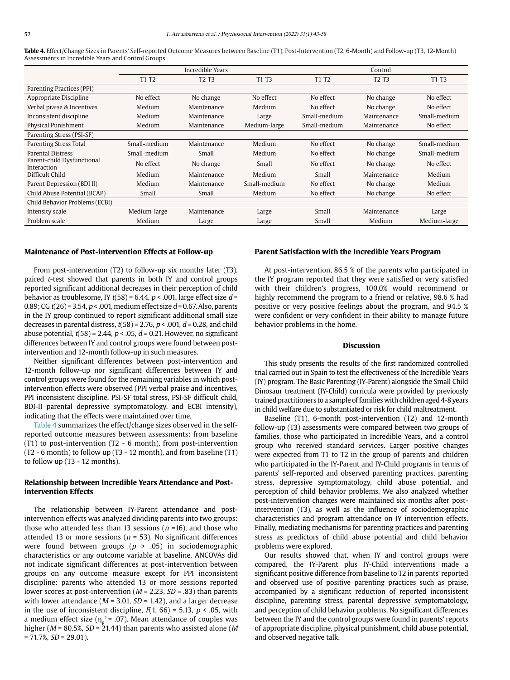**Table 4.** Effect/Change Sizes in Parents' Self-reported Outcome Measures between Baseline (T1), Post-Intervention (T2, 6-Month) and Follow-up (T3, 12-Month) Assessments in Incredible Years and Control Groups

|              | Incredible Years |              | Control      |             |              |  |  |  |
|--------------|------------------|--------------|--------------|-------------|--------------|--|--|--|
| $T1-T2$      | $T2-T3$          | $T1-T3$      | $T1-T2$      | $T2-T3$     | $T1-T3$      |  |  |  |
|              |                  |              |              |             |              |  |  |  |
| No effect    | No change        | No effect    | No effect    | No change   | No effect    |  |  |  |
| Medium       | Maintenance      | Medium       | No effect    | No change   | No effect    |  |  |  |
| Medium       | Maintenance      | Large        | Small-medium | Maintenance | Small-medium |  |  |  |
| Medium       | Maintenance      | Medium-large | Small-medium | Maintenance | No effect    |  |  |  |
|              |                  |              |              |             |              |  |  |  |
| Small-medium | Maintenance      | Medium       | No effect    | No change   | Small-medium |  |  |  |
| Small-medium | Small            | Medium       | No effect    | No change   | Small-medium |  |  |  |
| No effect    | No change        | Small        | No effect    | No change   | No effect    |  |  |  |
| Medium       | Maintenance      | Medium       | Small        | Maintenance | Medium       |  |  |  |
| Medium       | Maintenance      | Small-medium | No effect    | No change   | Medium       |  |  |  |
| Small        | Small            | Medium       | No effect    | No change   | No effect    |  |  |  |
|              |                  |              |              |             |              |  |  |  |
| Medium-large | Maintenance      | Large        | Small        | Maintenance | Large        |  |  |  |
| Medium       | Large            | Large        | Small        | Medium      | Medium-large |  |  |  |
|              |                  |              |              |             |              |  |  |  |

#### **Maintenance of Post-intervention Effects at Follow-up**

From post-intervention (T2) to follow-up six months later (T3), paired t-test showed that parents in both IY and control groups reported significant additional decreases in their perception of child behavior as troublesome, IY  $t(58) = 6.44$ ,  $p < .001$ , large effect size  $d =$ 0.89; CG  $t(26)$  = 3.54,  $p < .001$ , medium effect size  $d = 0.67$ . Also, parents in the IY group continued to report significant additional small size decreases in parental distress,  $t(58) = 2.76$ ,  $p < .001$ ,  $d = 0.28$ , and child abuse potential,  $t(58) = 2.44$ ,  $p < .05$ ,  $d = 0.21$ . However, no significant differences between IY and control groups were found between postintervention and 12-month follow-up in such measures.

Neither significant differences between post-intervention and 12-month follow-up nor significant differences between IY and control groups were found for the remaining variables in which postintervention effects were observed (PPI verbal praise and incentives, PPI inconsistent discipline, PSI-SF total stress, PSI-SF difficult child, BDI-II parental depressive symptomatology, and ECBI intensity), indicating that the effects were maintained over time.

Table 4 summarizes the effect/change sizes observed in the selfreported outcome measures between assessments: from baseline (T1) to post-intervention (T2 - 6 month), from post-intervention (T2 - 6 month) to follow up (T3 - 12 month), and from baseline (T1) to follow up (T3 - 12 months).

## **Relationship between Incredible Years Attendance and Postintervention Effects**

The relationship between IY-Parent attendance and postintervention effects was analyzed dividing parents into two groups: those who attended less than 13 sessions ( $n = 16$ ), and those who attended 13 or more sessions ( $n = 53$ ). No significant differences were found between groups ( $p > .05$ ) in sociodemographic characteristics or any outcome variable at baseline. ANCOVAs did not indicate significant differences at post-intervention between groups on any outcome measure except for PPI inconsistent discipline: parents who attended 13 or more sessions reported lower scores at post-intervention ( $M = 2.23$ ,  $SD = .83$ ) than parents with lower attendance ( $M = 3.01$ ,  $SD = 1.42$ ), and a larger decrease in the use of inconsistent discipline,  $F(1, 66) = 5.13$ ,  $p < .05$ , with a medium effect size ( $\eta_{\rm p}^{\rm 2}$  = .07). Mean attendance of couples was higher ( $M = 80.5\%$ ,  $SD = 21.44$ ) than parents who assisted alone (M)  $= 71.7\%, SD = 29.01$ ).

## **Parent Satisfaction with the Incredible Years Program**

At post-intervention, 86.5 % of the parents who participated in the IY program reported that they were satisfied or very satisfied with their children's progress, 100.0% would recommend or highly recommend the program to a friend or relative, 98.6 % had positive or very positive feelings about the program, and 94.5 % were confident or very confident in their ability to manage future behavior problems in the home.

## **Discussion**

This study presents the results of the first randomized controlled trial carried out in Spain to test the effectiveness of the Incredible Years (IY) program. The Basic Parenting (IY-Parent) alongside the Small Child Dinosaur treatment (IY-Child) curricula were provided by previously trained practitioners to a sample of families with children aged 4-8 years in child welfare due to substantiated or risk for child maltreatment.

Baseline (T1), 6-month post-intervention (T2) and 12-month follow-up (T3) assessments were compared between two groups of families, those who participated in Incredible Years, and a control group who received standard services. Larger positive changes were expected from T1 to T2 in the group of parents and children who participated in the IY-Parent and IY-Child programs in terms of parents' self-reported and observed parenting practices, parenting stress, depressive symptomatology, child abuse potential, and perception of child behavior problems. We also analyzed whether post-intervention changes were maintained six months after postintervention (T3), as well as the influence of sociodemographic characteristics and program attendance on IY intervention effects. Finally, mediating mechanisms for parenting practices and parenting stress as predictors of child abuse potential and child behavior problems were explored.

Our results showed that, when IY and control groups were compared, the IY-Parent plus IY-Child interventions made a significant positive difference from baseline to T2 in parents' reported and observed use of positive parenting practices such as praise, accompanied by a significant reduction of reported inconsistent discipline, parenting stress, parental depressive symptomatology, and perception of child behavior problems. No significant differences between the IY and the control groups were found in parents' reports of appropriate discipline, physical punishment, child abuse potential, and observed negative talk.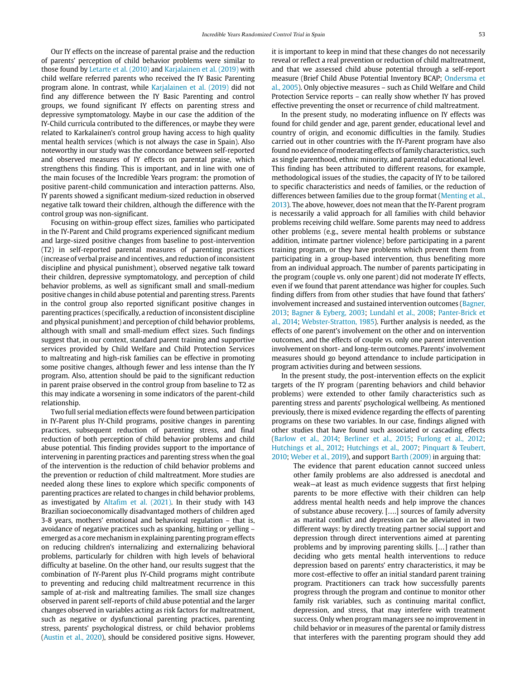Our IY effects on the increase of parental praise and the reduction of parents' perception of child behavior problems were similar to those found by Letarte et al. (2010) and Karjalainen et al. (2019) with child welfare referred parents who received the IY Basic Parenting program alone. In contrast, while Karjalainen et al. (2019) did not find any difference between the IY Basic Parenting and control groups, we found significant IY effects on parenting stress and depressive symptomatology. Maybe in our case the addition of the IY-Child curricula contributed to the differences, or maybe they were related to Karkalainen's control group having access to high quality mental health services (which is not always the case in Spain). Also noteworthy in our study was the concordance between self-reported and observed measures of IY effects on parental praise, which strengthens this finding. This is important, and in line with one of the main focuses of the Incredible Years program: the promotion of positive parent-child communication and interaction patterns. Also, IY parents showed a significant medium-sized reduction in observed negative talk toward their children, although the difference with the control group was non-significant.

Focusing on within-group effect sizes, families who participated in the IY-Parent and Child programs experienced significant medium and large-sized positive changes from baseline to post-intervention (T2) in self-reported parental measures of parenting practices (increase of verbal praise and incentives, and reduction of inconsistent discipline and physical punishment), observed negative talk toward their children, depressive symptomatology, and perception of child behavior problems, as well as significant small and small-medium positive changes in child abuse potential and parenting stress. Parents in the control group also reported significant positive changes in parenting practices (specifically, a reduction of inconsistent discipline and physical punishment) and perception of child behavior problems, although with small and small-medium effect sizes. Such findings suggest that, in our context, standard parent training and supportive services provided by Child Welfare and Child Protection Services to maltreating and high-risk families can be effective in promoting some positive changes, although fewer and less intense than the IY program. Also, attention should be paid to the significant reduction in parent praise observed in the control group from baseline to T2 as this may indicate a worsening in some indicators of the parent-child relationship.

Two full serial mediation effects were found between participation in IY-Parent plus IY-Child programs, positive changes in parenting practices, subsequent reduction of parenting stress, and final reduction of both perception of child behavior problems and child abuse potential. This finding provides support to the importance of intervening in parenting practices and parenting stress when the goal of the intervention is the reduction of child behavior problems and the prevention or reduction of child maltreatment. More studies are needed along these lines to explore which specific components of parenting practices are related to changes in child behavior problems, as investigated by Altafim et al. (2021). In their study with 143 Brazilian socioeconomically disadvantaged mothers of children aged 3-8 years, mothers' emotional and behavioral regulation – that is, avoidance of negative practices such as spanking, hitting or yelling – emerged as a core mechanism in explaining parenting program effects on reducing children's internalizing and externalizing behavioral problems, particularly for children with high levels of behavioral difficulty at baseline. On the other hand, our results suggest that the combination of IY-Parent plus IY-Child programs might contribute to preventing and reducing child maltreatment recurrence in this sample of at-risk and maltreating families. The small size changes observed in parent self-reports of child abuse potential and the larger changes observed in variables acting as risk factors for maltreatment, such as negative or dysfunctional parenting practices, parenting stress, parents' psychological distress, or child behavior problems (Austin et al., 2020), should be considered positive signs. However,

it is important to keep in mind that these changes do not necessarily reveal or reflect a real prevention or reduction of child maltreatment, and that we assessed child abuse potential through a self-report measure (Brief Child Abuse Potential Inventory BCAP; Ondersma et al., 2005). Only objective measures – such as Child Welfare and Child Protection Service reports – can really show whether IY has proved effective preventing the onset or recurrence of child maltreatment.

In the present study, no moderating influence on IY effects was found for child gender and age, parent gender, educational level and country of origin, and economic difficulties in the family. Studies carried out in other countries with the IY-Parent program have also found no evidence of moderating effects of family characteristics, such as single parenthood, ethnic minority, and parental educational level. This finding has been attributed to different reasons, for example, methodological issues of the studies, the capacity of IY to be tailored to specific characteristics and needs of families, or the reduction of differences between families due to the group format (Menting et al., 2013). The above, however, does not mean that the IY-Parent program is necessarily a valid approach for all families with child behavior problems receiving child welfare. Some parents may need to address other problems (e.g., severe mental health problems or substance addition, intimate partner violence) before participating in a parent training program, or they have problems which prevent them from participating in a group-based intervention, thus benefiting more from an individual approach. The number of parents participating in the program (couple vs. only one parent) did not moderate IY effects, even if we found that parent attendance was higher for couples. Such finding differs from from other studies that have found that fathers' involvement increased and sustained intervention outcomes (Bagner, 2013; Bagner & Eyberg, 2003; Lundahl et al., 2008; Panter-Brick et al., 2014; Webster-Stratton, 1985). Further analysis is needed, as the effects of one parent's involvement on the other and on intervention outcomes, and the effects of couple vs. only one parent intervention involvement on short- and long-term outcomes. Parents' involvement measures should go beyond attendance to include participation in program activities during and between sessions.

In the present study, the post-intervention effects on the explicit targets of the IY program (parenting behaviors and child behavior problems) were extended to other family characteristics such as parenting stress and parents' psychological wellbeing. As mentioned previously, there is mixed evidence regarding the effects of parenting programs on these two variables. In our case, findings aligned with other studies that have found such associated or cascading effects (Barlow et al., 2014; Berliner et al., 2015; Furlong et al., 2012; Hutchings et al., 2012; Hutchings et al., 2007; Pinquart & Teubert, 2010; Weber et al., 2019), and support Barth (2009) in arguing that:

The evidence that parent education cannot succeed unless other family problems are also addressed is anecdotal and weak—at least as much evidence suggests that first helping parents to be more effective with their children can help address mental health needs and help improve the chances of substance abuse recovery. [….] sources of family adversity as marital conflict and depression can be alleviated in two different ways: by directly treating partner social support and depression through direct interventions aimed at parenting problems and by improving parenting skills. […] rather than deciding who gets mental health interventions to reduce depression based on parents' entry characteristics, it may be more cost-effective to offer an initial standard parent training program. Practitioners can track how successfully parents progress through the program and continue to monitor other family risk variables, such as continuing marital conflict, depression, and stress, that may interfere with treatment success. Only when program managers see no improvement in child behavior or in measures of the parental or family distress that interferes with the parenting program should they add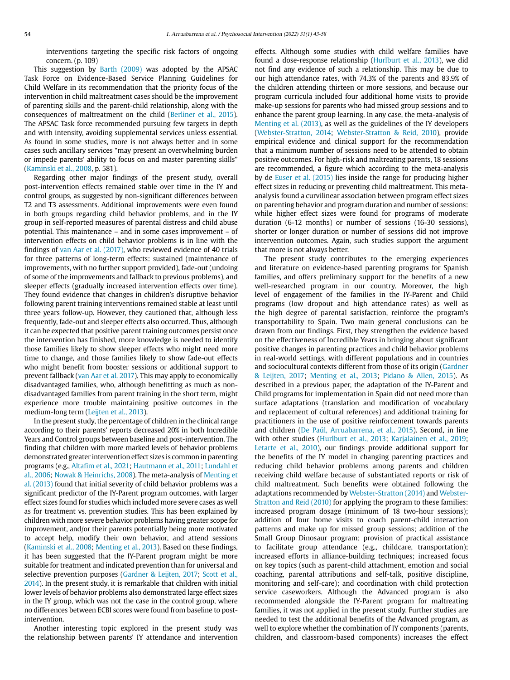interventions targeting the specific risk factors of ongoing concern. (p. 109)

This suggestion by Barth (2009) was adopted by the APSAC Task Force on Evidence-Based Service Planning Guidelines for Child Welfare in its recommendation that the priority focus of the intervention in child maltreatment cases should be the improvement of parenting skills and the parent-child relationship, along with the consequences of maltreatment on the child (Berliner et al., 2015). The APSAC Task force recommended pursuing few targets in depth and with intensity, avoiding supplemental services unless essential. As found in some studies, more is not always better and in some cases such ancillary services "may present an overwhelming burden or impede parents' ability to focus on and master parenting skills" (Kaminski et al., 2008, p. 581).

Regarding other major findings of the present study, overall post-intervention effects remained stable over time in the IY and control groups, as suggested by non-significant differences between T2 and T3 assessments. Additional improvements were even found in both groups regarding child behavior problems, and in the IY group in self-reported measures of parental distress and child abuse potential. This maintenance – and in some cases improvement – of intervention effects on child behavior problems is in line with the findings of van Aar et al. (2017), who reviewed evidence of 40 trials for three patterns of long-term effects: sustained (maintenance of improvements, with no further support provided), fade-out (undoing of some of the improvements and fallback to previous problems), and sleeper effects (gradually increased intervention effects over time). They found evidence that changes in children's disruptive behavior following parent training interventions remained stable at least until three years follow-up. However, they cautioned that, although less frequently, fade-out and sleeper effects also occurred. Thus, although it can be expected that positive parent training outcomes persist once the intervention has finished, more knowledge is needed to identify those families likely to show sleeper effects who might need more time to change, and those families likely to show fade-out effects who might benefit from booster sessions or additional support to prevent fallback (van Aar et al. 2017). This may apply to economically disadvantaged families, who, although benefitting as much as nondisadvantaged families from parent training in the short term, might experience more trouble maintaining positive outcomes in the medium-long term (Leijten et al., 2013).

In the present study, the percentage of children in the clinical range according to their parents' reports decreased 20% in both Incredible Years and Control groups between baseline and post-intervention. The finding that children with more marked levels of behavior problems demonstrated greater intervention effect sizes is common in parenting programs (e.g., Altafim et al., 2021; Hautmann et al., 2011; Lundahl et al., 2006; Nowak & Heinrichs, 2008). The meta-analysis of Menting et al. (2013) found that initial severity of child behavior problems was a significant predictor of the IY-Parent program outcomes, with larger effect sizes found for studies which included more severe cases as well as for treatment vs. prevention studies. This has been explained by children with more severe behavior problems having greater scope for improvement, and/or their parents potentially being more motivated to accept help, modify their own behavior, and attend sessions (Kaminski et al., 2008; Menting et al., 2013). Based on these findings, it has been suggested that the IY-Parent program might be more suitable for treatment and indicated prevention than for universal and selective prevention purposes (Gardner & Leijten, 2017; Scott et al., 2014). In the present study, it is remarkable that children with initial lower levels of behavior problems also demonstrated large effect sizes in the IY group, which was not the case in the control group, where no differences between ECBI scores were found from baseline to postintervention.

Another interesting topic explored in the present study was the relationship between parents' IY attendance and intervention effects. Although some studies with child welfare families have found a dose-response relationship (Hurlburt et al., 2013), we did not find any evidence of such a relationship. This may be due to our high attendance rates, with 74.3% of the parents and 83.9% of the children attending thirteen or more sessions, and because our program curricula included four additional home visits to provide make-up sessions for parents who had missed group sessions and to enhance the parent group learning. In any case, the meta-analysis of Menting et al. (2013), as well as the guidelines of the IY developers (Webster-Stratton, 2014; Webster-Stratton & Reid, 2010), provide empirical evidence and clinical support for the recommendation that a minimum number of sessions need to be attended to obtain positive outcomes. For high-risk and maltreating parents, 18 sessions are recommended, a figure which according to the meta-analysis by de Euser et al. (2015) lies inside the range for producing higher effect sizes in reducing or preventing child maltreatment. This metaanalysis found a curvilinear association between program effect sizes on parenting behavior and program duration and number of sessions: while higher effect sizes were found for programs of moderate duration (6-12 months) or number of sessions (16-30 sessions), shorter or longer duration or number of sessions did not improve intervention outcomes. Again, such studies support the argument that more is not always better.

The present study contributes to the emerging experiences and literature on evidence-based parenting programs for Spanish families, and offers preliminary support for the benefits of a new well-researched program in our country. Moreover, the high level of engagement of the families in the IY-Parent and Child programs (low dropout and high attendance rates) as well as the high degree of parental satisfaction, reinforce the program's transportability to Spain. Two main general conclusions can be drawn from our findings. First, they strengthen the evidence based on the effectiveness of Incredible Years in bringing about significant positive changes in parenting practices and child behavior problems in real-world settings, with different populations and in countries and sociocultural contexts different from those of its origin (Gardner & Leijten, 2017; Menting et al., 2013; Pidano & Allen, 2015). As described in a previous paper, the adaptation of the IY-Parent and Child programs for implementation in Spain did not need more than surface adaptations (translation and modification of vocabulary and replacement of cultural references) and additional training for practitioners in the use of positive reinforcement towards parents and children (De Paúl, Arruabarrena, et al., 2015). Second, in line with other studies (Hurlburt et al., 2013; Karjalainen et al., 2019; Letarte et al., 2010), our findings provide additional support for the benefits of the IY model in changing parenting practices and reducing child behavior problems among parents and children receiving child welfare because of substantiated reports or risk of child maltreatment. Such benefits were obtained following the adaptations recommended by Webster-Stratton (2014) and Webster-Stratton and Reid (2010) for applying the program to these families: increased program dosage (minimum of 18 two-hour sessions); addition of four home visits to coach parent-child interaction patterns and make up for missed group sessions; addition of the Small Group Dinosaur program; provision of practical assistance to facilitate group attendance (e.g., childcare, transportation); increased efforts in alliance-building techniques; increased focus on key topics (such as parent-child attachment, emotion and social coaching, parental attributions and self-talk, positive discipline, monitoring and self-care); and coordination with child protection service caseworkers. Although the Advanced program is also recommended alongside the IY-Parent program for maltreating families, it was not applied in the present study. Further studies are needed to test the additional benefits of the Advanced program, as well to explore whether the combination of IY components (parents, children, and classroom-based components) increases the effect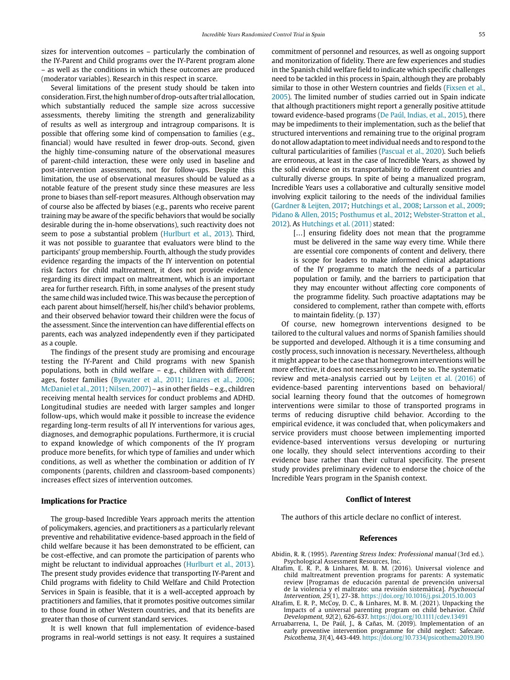sizes for intervention outcomes – particularly the combination of the IY-Parent and Child programs over the IY-Parent program alone – as well as the conditions in which these outcomes are produced (moderator variables). Research in this respect in scarce.

Several limitations of the present study should be taken into consideration. First, the high number of drop-outs after trial allocation, which substantially reduced the sample size across successive assessments, thereby limiting the strength and generalizability of results as well as intergroup and intragroup comparisons. It is possible that offering some kind of compensation to families (e.g., financial) would have resulted in fewer drop-outs. Second, given the highly time-consuming nature of the observational measures of parent-child interaction, these were only used in baseline and post-intervention assessments, not for follow-ups. Despite this limitation, the use of observational measures should be valued as a notable feature of the present study since these measures are less prone to biases than self-report measures. Although observation may of course also be affected by biases (e.g., parents who receive parent training may be aware of the specific behaviors that would be socially desirable during the in-home observations), such reactivity does not seem to pose a substantial problem (Hurlburt et al., 2013). Third, it was not possible to guarantee that evaluators were blind to the participants' group membership. Fourth, although the study provides evidence regarding the impacts of the IY intervention on potential risk factors for child maltreatment, it does not provide evidence regarding its direct impact on maltreatment, which is an important area for further research. Fifth, in some analyses of the present study the same child was included twice. This was because the perception of each parent about himself/herself, his/her child's behavior problems, and their observed behavior toward their children were the focus of the assessment. Since the intervention can have differential effects on parents, each was analyzed independently even if they participated as a couple.

The findings of the present study are promising and encourage testing the IY-Parent and Child programs with new Spanish populations, both in child welfare – e.g., children with different ages, foster families (Bywater et al., 2011; Linares et al., 2006; McDaniel et al., 2011; Nilsen, 2007) – as in other fields – e.g., children receiving mental health services for conduct problems and ADHD. Longitudinal studies are needed with larger samples and longer follow-ups, which would make it possible to increase the evidence regarding long-term results of all IY interventions for various ages, diagnoses, and demographic populations. Furthermore, it is crucial to expand knowledge of which components of the IY program produce more benefits, for which type of families and under which conditions, as well as whether the combination or addition of IY components (parents, children and classroom-based components) increases effect sizes of intervention outcomes.

## **Implications for Practice**

The group-based Incredible Years approach merits the attention of policymakers, agencies, and practitioners as a particularly relevant preventive and rehabilitative evidence-based approach in the field of child welfare because it has been demonstrated to be efficient, can be cost-effective, and can promote the participation of parents who might be reluctant to individual approaches (Hurlburt et al., 2013). The present study provides evidence that transporting IY-Parent and Child programs with fidelity to Child Welfare and Child Protection Services in Spain is feasible, that it is a well-accepted approach by practitioners and families, that it promotes positive outcomes similar to those found in other Western countries, and that its benefits are greater than those of current standard services.

It is well known that full implementation of evidence-based programs in real-world settings is not easy. It requires a sustained

commitment of personnel and resources, as well as ongoing support and monitorization of fidelity. There are few experiences and studies in the Spanish child welfare field to indicate which specific challenges need to be tackled in this process in Spain, although they are probably similar to those in other Western countries and fields (Fixsen et al., 2005). The limited number of studies carried out in Spain indicate that although practitioners might report a generally positive attitude toward evidence-based programs (De Paúl, Indias, et al., 2015), there may be impediments to their implementation, such as the belief that structured interventions and remaining true to the original program do not allow adaptation to meet individual needs and to respond to the cultural particularities of families (Pascual et al., 2020). Such beliefs are erroneous, at least in the case of Incredible Years, as showed by the solid evidence on its transportability to different countries and culturally diverse groups. In spite of being a manualized program, Incredible Years uses a collaborative and culturally sensitive model involving explicit tailoring to the needs of the individual families (Gardner & Leijten, 2017; Hutchings et al., 2008; Larsson et al., 2009; Pidano & Allen, 2015; Posthumus et al., 2012; Webster-Stratton et al., 2012). As Hutchings et al. (2011) stated:

> [...] ensuring fidelity does not mean that the programme must be delivered in the same way every time. While there are essential core components of content and delivery, there is scope for leaders to make informed clinical adaptations of the IY programme to match the needs of a particular population or family, and the barriers to participation that they may encounter without affecting core components of the programme fidelity. Such proactive adaptations may be considered to complement, rather than compete with, efforts to maintain fidelity. (p. 137)

Of course, new homegrown interventions designed to be tailored to the cultural values and norms of Spanish families should be supported and developed. Although it is a time consuming and costly process, such innovation is necessary. Nevertheless, although it might appear to be the case that homegrown interventions will be more effective, it does not necessarily seem to be so. The systematic review and meta-analysis carried out by Leijten et al. (2016) of evidence-based parenting interventions based on behavioral/ social learning theory found that the outcomes of homegrown interventions were similar to those of transported programs in terms of reducing disruptive child behavior. According to the empirical evidence, it was concluded that, when policymakers and service providers must choose between implementing imported evidence-based interventions versus developing or nurturing one locally, they should select interventions according to their evidence base rather than their cultural specificity. The present study provides preliminary evidence to endorse the choice of the Incredible Years program in the Spanish context.

#### **Conflict of Interest**

The authors of this article declare no conflict of interest.

#### **References**

- Abidin, R. R. (1995). Parenting Stress Index: Professional manual (3rd ed.). Psychological Assessment Resources, Inc.
- Altafim, E. R. P., & Linhares, M. B. M. (2016). Universal violence and child maltreatment prevention programs for parents: A systematic review [Programas de educación parental de prevención universal de la violencia y el maltrato: una revisión sistemática]. Psychosocial Intervention, 25(1), 27-38. https://doi.org/10.1016/j.psi.2015.10.003
- Altafim, E. R. P., McCoy, D. C., & Linhares, M. B. M. (2021). Unpacking the Impacts of a universal parenting program on child behavior. Child Development, 92(2), 626-637. https://doi.org/10.1111/cdev.13491
- Arruabarrena, I., De Paúl, J., & Cañas, M. (2019). Implementation of an early preventive intervention programme for child neglect: Safecare. Psicothema, 31(4), 443-449. https://doi.org/10.7334/psicothema2019.190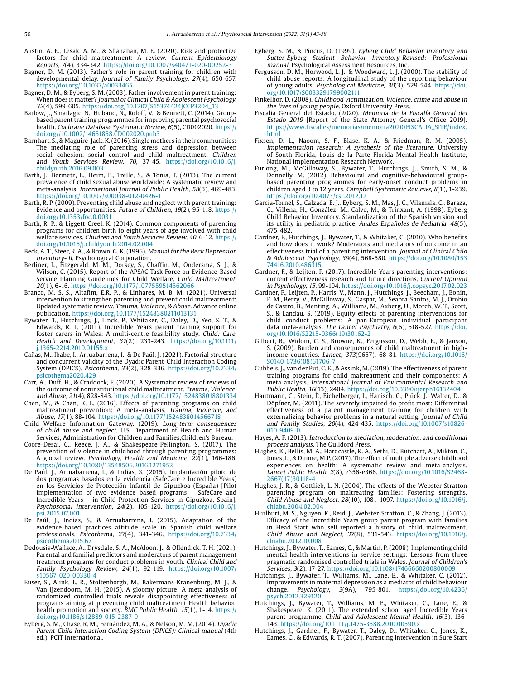- Austin, A. E., Lesak, A. M., & Shanahan, M. E. (2020). Risk and protective factors for child maltreatment: A review. Current Epidemiology Reports, 7(4), 334-342. https://doi.org/10.1007/s40471-020-00252-3
- Bagner, D. M. (2013). Father's role in parent training for children with developmental delay. Journal of Family Psychology, 27(4), 650-657. https://doi.org/10.1037/a0033465
- Bagner, D. M., & Eyberg, S. M. (2003). Father involvement in parent training: When does it matter? Journal of Clinical Child & Adolescent Psychology, 32(4), 599-605. https://doi.org/10.1207/S15374424JCCP3204\_13
- Barlow, J., Smailagic, N., Huband, N., Roloff, V., & Bennett, C. (2014). Groupbased parent training programmes for improving parental psychosocial health. Cochrane Database Systematic Review, 6(5), CD002020. https:// doi.org//10.1002/14651858.CD002020.pub3
- Barnhart, S., & Maguire-Jack, K. (2016). Single mothers in their communities: The mediating role of parenting stress and depression between social cohesion, social control and child maltreatment. Children and Youth Services Review, 70, 37-45. [https://doi.org/10.1016/j.](https://doi.org/10.1016/j.childyouth.2016.09.003) [childyouth.2016.09.003](https://doi.org/10.1016/j.childyouth.2016.09.003)
- Barth, J., Bermetz, L., Heim, E., Trelle, S., & Tonia, T. (2013). The current prevalence of child sexual abuse worldwide: A systematic review and meta-analysis. International Journal of Public Health, 58(3), 469-483. https://doi.org/10.1007/s00038-012-0426-1
- Barth, R. P. (2009). Preventing child abuse and neglect with parent training: Evidence and opportunities. Future of Children, 19(2), 95-118. https:// doi.org/10.1353/foc.0.0031
- Barth, R. P., & Liggett-Creel, K. (2014). Common components of parenting programs for children birth to eight years of age involved with child welfare services. Children and Youth Services Review, 40, 6-12. https:// doi.org/10.1016/j.childyouth.2014.02.004
- Beck, A. T., Steer, R. A., & Brown, G. K. (1996). Manual for the Beck Depression Inventory- II. Psychological Corporation.
- Berliner, L., Fitzgerald, M. M., Dorsey, S., Chaffin, M., Ondersma, S. J., & Wilson, C. (2015). Report of the APSAC Task Force on Evidence-Based Service Planning Guidelines for Child Welfare. Child Maltreatment, 20(1), 6-16. https://doi.org/10.1177/1077559514562066
- Branco, M. S. S., Altafim, E.R. P., & Linhares, M. B. M. (2021). Universal intervention to strengthen parenting and prevent child maltreatment: Updated systematic review. Trauma, Violence, & Abuse. Advance online publication. https://doi.org/10.1177/15248380211013131
- Bywater, T., Hutchings, J., Linck, P., Whitaker, C., Daley, D., Yeo, S. T., & Edwards, R. T. (2011). Incredible Years parent training support for foster carers in Wales: A multi-centre feasibility study. Child: Care, Health and Development, 37(2), 233-243. [https://doi.org/10.1111/](https://doi.org/10.1111/j.1365-2214.2010.01155.x) [j.1365-2214.2010.01155.x](https://doi.org/10.1111/j.1365-2214.2010.01155.x)
- Cañas, M., Ibabe, I., Arruabarrena, I., & De Paúl, J. (2021). Factorial structure and concurrent validity of the Dyadic Parent-Child Interaction Coding System (DPICS). Psicothema, 33(2), 328-336. [https://doi.org/10.7334/](https://doi.org/10.7334/psicothema2020.429) [psicothema2020.429](https://doi.org/10.7334/psicothema2020.429)
- Carr, A., Duff, H., & Craddock, F. (2020). A Systematic review of reviews of the outcome of noninstitutional child maltreatment. Trauma, Violence, and Abuse, 21(4), 828-843. https://doi.org/10.1177/1524838018801334
- Chen, M., & Chan, K. L. (2016). Effects of parenting programs on child maltreatment prevention: A meta-analysis. Trauma, Violence, and Abuse, 17(1), 88-104. https://doi.org/10.1177/1524838014566718
- Child Welfare Information Gateway. (2019). Long-term consequences of child abuse and neglect. U.S. Department of Health and Human Services, Administration for Children and Families,Children's Bureau.
- Coore-Desai, C., Reece, J. A., & Shakespeare-Pellington, S. (2017). The prevention of violence in childhood through parenting programmes: A global review. Psychology, Health and Medicine, 22(1), 166-186. https://doi.org/10.1080/13548506.2016.1271952
- De Paúl, J., Arruabarrena, I., & Indias, S. (2015). Implantación piloto de dos programas basados en la evidencia (SafeCare e Incredible Years) en los Servicios de Protección Infantil de Gipuzkoa (España) [Pilot Implementation of two evidence based programs – SafeCare and Incredible Years – in Child Protection Services in Gipuzkoa, Spain]. Psychosocial Intervention, 24(2), 105-120. [https://doi.org/10.1016/j.](https://doi.org/10.1016/j.psi.2015.07.001) [psi.2015.07.001](https://doi.org/10.1016/j.psi.2015.07.001)
- De Paúl, J., Indias, S., & Arruabarrena, I. (2015). Adaptation of the evidence-based practices attitude scale in Spanish child welfare professionals. Psicothema, 27(4), 341-346. [https://doi.org/10.7334/](https://doi.org/10.7334/psicothema2015.67) [psicothema2015.67](https://doi.org/10.7334/psicothema2015.67)
- Dedousis-Wallace, A., Drysdale, S. A., McAloon, J., & Ollendick, T. H. (2021). Parental and familial predictors and moderators of parent management treatment programs for conduct problems in youth. Clinical Child and Family Psychology Review, 24(1), 92-119. [https://doi.org/10.1007/](https://doi.org/10.1007/s10567-020-00330-) [s10567-020-00330-4](https://doi.org/10.1007/s10567-020-00330-)
- Euser, S., Alink, L. R., Stoltenborgh, M., Bakermans-Kranenburg, M. J., & Van IJzendoorn, M. H. (2015). A gloomy picture: A meta-analysis of randomized controlled trials reveals disappointing effectiveness of programs aiming at preventing child maltreatment Health behavior, health promotion and society. BMC Public Health, 15(1), 1-14. https:// doi.org/10.1186/s12889-015-2387-9
- Eyberg, S. M., Chase, R. M., Fernández, M. A., & Nelson, M. M. (2014). Dyadic Parent-Child Interaction Coding System (DPICS): Clinical manual (4th ed.). PCIT International.
- Eyberg, S. M., & Pincus, D. (1999). Eyberg Child Behavior Inventory and Sutter-Eyberg Student Behavior Inventory-Revised: Professional manual. Psychological Assessment Resources, Inc.
- Fergusson, D. M., Horwood, L. J., & Woodward, L. J. (2000). The stability of child abuse reports: A longitudinal study of the reporting behaviour of young adults. Psychological Medicine, 30(3), 529-544. [https://doi.](https://doi.org/10.1017/S0033291799002111) [org/10.1017/S0033291799002111](https://doi.org/10.1017/S0033291799002111)
- Finkelhor, D. (2008). Childhood victimization. Violence, crime and abuse in the lives of young people. Oxford University Press.
- Fiscalía General del Estado. (2020). Memoria de la Fiscalía General del Estado 2019 [Report of the State Attorney General's Office 2019]. https://www.fiscal.es/memorias/memoria2020/FISCALIA\_SITE/index. html
- Fixsen, D. L., Naoom, S. F., Blase, K. A., & Friedman, R. M. (2005). Implementation research: A synthesis of the literature. University of South Florida, Louis de la Parte Florida Mental Health Institute, National Implementation Research Network.
- Furlong, M., McGilloway, S., Bywater, T., Hutchings, J., Smith, S. M., & Donnelly, M. (2012). Behavioural and cognitive-behavioural groupbased parenting programmes for early-onset conduct problems in children aged 3 to 12 years. Campbell Systematic Reviews, 8(1), 1-239. https://doi.org/10.4073/csr.2012.12
- García-Tornel, S., Calzada, E. J., Eyberg, S. M., Mas, J. C., Vilamala, C., Baraza, C., Villena, H., González, M., Calvo, M., & Trinxant, A. (1998). Eyberg Child Behavior Inventory. Standardization of the Spanish version and its utility in pediatric practice. Anales Españoles de Pediatría, 48(5), 475-482.
- Gardner, F., Hutchings, J., Bywater, T., & Whitaker, C. (2010). Who benefits and how does it work? Moderators and mediators of outcome in an effectiveness trial of a parenting intervention. Journal of Clinical Child & Adolescent Psychology, 39(4), 568-580. [https://doi.org/10.1080/153](https://doi.org/10.1080/15374416.2010.486315) [74416.2010.486315](https://doi.org/10.1080/15374416.2010.486315)
- Gardner, F., & Leijten, P. (2017). Incredible Years parenting interventions: current effectiveness research and future directions. Current Opinion in Psychology, 15, 99-104. https://doi.org/10.1016/j.copsyc.2017.02.023
- Gardner, F., Leijten, P., Harris, V., Mann, J., Hutchings, J., Beecham, J., Bonin, E. M., Berry, V., McGilloway, S., Gaspar, M., Seabra-Santos, M. J., Orobio de Castro, B., Menting, A., Williams, M., Axberg, U., Morch, W. T., Scott, S., & Landau, S. (2019). Equity effects of parenting interventions for child conduct problems: A pan-European individual participant data meta-analysis. The Lancet Psychiatry, 6(6), 518-527. [https://doi.](https://doi.org/10.1016/S2215-0366(19)30162-2) [org/10.1016/S2215-0366\(19\)30162-2](https://doi.org/10.1016/S2215-0366(19)30162-2)
- Gilbert, R., Widom, C. S., Browne, K., Fergusson, D., Webb, E., & Janson, S. (2009). Burden and consequences of child maltreatment in highincome countries. Lancet, 373(9657), 68-81. [https://doi.org/10.1016/](https://doi.org/10.1016/S0140-6736(08)61706-7) S0140-6736(08)61706-
- Gubbels, J., van der Put, C. E., & Assink, M. (2019). The effectiveness of parent training programs for child maltreatment and their components: A meta-analysis. International Journal of Environmental Research and Public Health, 16(13), 2404. https://doi.org/10.3390/ijerph16132404
- Hautmann, C., Stein, P., Eichelberger, I., Hanisch, C., Plück, J., Walter, D., & Döpfner, M. (2011). The severely impaired do profit most: Differential effectiveness of a parent management training for children with externalizing behavior problems in a natural setting. Journal of Child and Family Studies, 20(4), 424-435. https://doi.org/10.1007/s10826-010-9409-0
- Hayes, A. F. (2013). Introduction to mediation, moderation, and conditional process analysis. The Guildord Press.
- Hughes, K., Bellis, M. A., Hardcastle, K. A., Sethi, D., Butchart, A., Mikton, C., Jones, L., & Dunne, M.P. (2017). The effect of multiple adverse childhood experiences on health: A systematic review and meta-analysis. Lancet Public Health, 2(8), e356-e366. [https://doi.org/10.1016/S2468-](https://doi.org/10.1016/S2468-2667(17)30118-4) [2667\(17\)30118-4](https://doi.org/10.1016/S2468-2667(17)30118-4)
- Hughes, J. R., & Gottlieb, L. N. (2004). The effects of the Webster-Stratton parenting program on maltreating families: Fostering strengths. Child Abuse and Neglect, 28(10), 1081-1097. [https://doi.org/10.1016/j.](https://doi.org/10.1016/j.chiabu.2004.02.004) [chiabu.2004.02.004](https://doi.org/10.1016/j.chiabu.2004.02.004)
- Hurlburt, M. S., Nguyen, K., Reid, J., Webster-Stratton, C., & Zhang, J. (2013). Efficacy of the Incredible Years group parent program with families in Head Start who self-reported a history of child maltreatment. Child Abuse and Neglect, 37(8), 531-543. [https://doi.org/10.1016/j.](https://doi.org/10.1016/j.chiabu.2012.10.008) [chiabu.2012.10.008](https://doi.org/10.1016/j.chiabu.2012.10.008)
- Hutchings, J., Bywater, T., Eames, C., & Martin, P. (2008). Implementing child mental health interventions in service settings: Lessons from three pragmatic randomised controlled trials in Wales. Journal of Children's Services, 3(2), 17-27. https://doi.org/10.1108/17466660200800009
- Hutchings, J., Bywater, T., Williams, M., Lane, E., & Whitaker, C. (2012). Improvements in maternal depression as a mediator of child behaviour change.  $Psychology$ ,  $3(9A)$ ,  $795-801$ . https://doi.org/10.4236/ change. Psychology, 3(9A), 795-801. [https://doi.org/10.4236/](https://doi.org/10.4236/psych.2012.329120) [psych.2012.329120](https://doi.org/10.4236/psych.2012.329120)
- Hutchings, J., Bywater, T., Williams, M. E., Whitaker, C., Lane, E., & Shakespeare, K. (2011). The extended school aged Incredible Years parent programme. Child and Adolescent Mental Health, 16(3), 136- 143. https://doi.org/10.1111/j.1475-3588.2010.00590.x
- Hutchings, J., Gardner, F., Bywater, T., Daley, D., Whitaker, C., Jones, K., Eames, C., & Edwards, R. T. (2007). Parenting intervention in Sure Start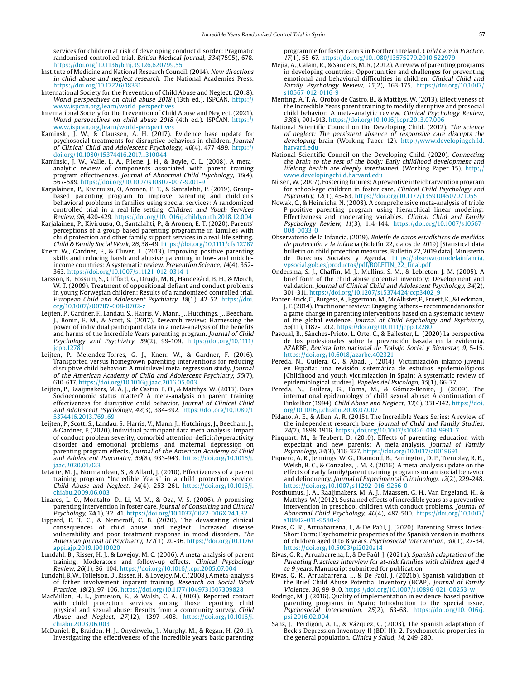services for children at risk of developing conduct disorder: Pragmatic randomised controlled trial. British Medical Journal, 334(7595), 678. https://doi.org/10.1136/bmj.39126.620799.55

- Institute of Medicine and National Research Council. (2014). New directions in child abuse and neglect research. The National Academies Press. https://doi.org/10.17226/18331
- International Society for the Prevention of Child Abuse and Neglect. (2018). World perspectives on child abuse 2018 (13th ed.). ISPCAN. https:/ www.ispcan.org/learn/world-perspectives
- International Society for the Prevention of Child Abuse and Neglect. (2021). World perspectives on child abuse 2018 (4th ed.). ISPCAN. https:// www.ispcan.org/learn/world-perspectives
- Kaminski, J. W., & Claussen, A. H. (2017). Evidence base update for psychosocial treatments for disruptive behaviors in children. Journal of Clinical Child and Adolescent Psychology, 46(4), 477-499. https:// doi.org/10.1080/15374416.2017.1310044
- Kaminski, J. W., Valle, L. A., Filene, J. H., & Boyle, C. L. (2008). A metaanalytic review of components associated with parent training program effectiveness. Journal of Abnormal Child Psychology, 36(4), 567-589. https://doi.org/10.1007/s10802-007-9201-9
- Karjalainen, P., Kiviruusu, O, Aronen, E. T., & Santalahti, P. (2019). Groupbased parenting program to improve parenting and children's behavioral problems in families using special services: A randomized controlled trial in a real-life setting. Children and Youth Services Review, 96, 420-429. https://doi.org/10.1016/j.childyouth.2018.12.004
- Karjalainen, P., Kiviruusu, O., Santalahti, P., & Aronen, E. T. (2020). Parents' perceptions of a group-based parenting programme in families with child protection and other family support services in a real-life setting. Child & Family Social Work, 26, 38-49. https://doi.org/10.1111/cfs.12787
- Knerr, W., Gardner, F., & Cluver, L. (2013). Improving positive parenting skills and reducing harsh and abusive parenting in low- and middleincome countries: A systematic review. Prevention Science, 14(4), 352- 363. https://doi.org/10.1007/s11121-012-0314-1
- Larsson, B., Fossum, S., Clifford, G., Drugli, M. B., Handegård, B. H., & Mørch, W. T. (2009). Treatment of oppositional defiant and conduct problems in young Norwegian children: Results of a randomized controlled trial. European Child and Adolescent Psychiatry, 18(1), 42-52. [https://doi.](https://doi.org/10.1007/s00787-008-0702-z) [org/10.1007/s00787-008-0702-z](https://doi.org/10.1007/s00787-008-0702-z)
- Leijten, P., Gardner, F., Landau, S., Harris, V., Mann, J., Hutchings, J., Beecham, J., Bonin, E. M., & Scott, S. (2017). Research review: Harnessing the power of individual participant data in a meta-analysis of the benefits and harms of the Incredible Years parenting program. *Journal of Child* Psychology and Psychiatry, 59(2), 99-109. [https://doi.org/10.1111/](https://doi.org/10.1111/jcpp.12781) [jcpp.12781](https://doi.org/10.1111/jcpp.12781)
- Leijten, P., Melendez-Torres, G. J., Knerr, W., & Gardner, F. (2016). Transported versus homegrown parenting interventions for reducing disruptive child behavior: A multilevel meta-regression study. Journal of the American Academy of Child and Adolescent Psychiatry, 55(7), 610-617. https://doi.org/10.1016/j.jaac.2016.05.003
- Leijten, P., Raaijmakers, M. A. J., de Castro, B. O., & Matthys, W. (2013). Does Socioeconomic status matter? A meta-analysis on parent training effectiveness for disruptive child behavior. Journal of Clinical Child and Adolescent Psychology, 42(3), 384-392. [https://doi.org/10.1080/1](https://doi.org/10.1080/15374416.2013.769169) [5374416.2013.769169](https://doi.org/10.1080/15374416.2013.769169)
- Leijten, P., Scott, S., Landau, S., Harris, V., Mann, J., Hutchings, J., Beecham, J., & Gardner, F. (2020). Individual participant data meta-analysis: Impact of conduct problem severity, comorbid attention-deficit/hyperactivity disorder and emotional problems, and maternal depression on parenting program effects. Journal of the American Academy of Child and Adolescent Psychiatry, 59(8), 933-943. [https://doi.org/10.1016/j.](https://doi.org/10.1016/j.jaac.2020.01.023) [jaac.2020.01.023](https://doi.org/10.1016/j.jaac.2020.01.023)
- Letarte, M. J., Normandeau, S., & Allard, J. (2010). Effectiveness of a parent training program "Incredible Years" in a child protection service. Child Abuse and Neglect, 34(4), 253–261. [https://doi.org/10.1016/j.](https://doi.org/10.1016/j.chiabu.2009.06.003) [chiabu.2009.06.003](https://doi.org/10.1016/j.chiabu.2009.06.003)
- Linares, L. O., Montalto, D., Li, M. M., & Oza, V. S. (2006). A promising parenting intervention in foster care. Journal of Consulting and Clinical Psychology, 74(1), 32–41. https://doi.org/10.1037/0022-006X.74.1.32
- Lippard, E. T. C., & Nemeroff, C. B. (2020). The devastating clinical consequences of child abuse and neglect: Increased disease vulnerability and poor treatment response in mood disorders. The American Journal of Psychiatry, 177(1), 20-36. [https://doi.org/10.1176/](https://doi.org/10.1176/appi.ajp.2019.19010020) [appi.ajp.2019.19010020](https://doi.org/10.1176/appi.ajp.2019.19010020)
- Lundahl, B., Risser, H. J., & Lovejoy, M. C. (2006). A meta-analysis of parent training: Moderators and follow-up effects. Clinical Psychology Review, 26(1), 86–104. https://doi.org/10.1016/j.cpr.2005.07.004
- Lundahl, B. W., Tollefson, D., Risser, H., & Lovejoy, M. C. (2008). A meta-analysis of father involvement inparent training. Research on Social Work Practice, 18(2), 97-106. https://doi.org/10.1177/1049731507309828
- MacMillan, H. L., Jamieson, E., & Walsh, C. A. (2003). Reported contact with child protection services among those reporting child physical and sexual abuse: Results from a community survey. Child Abuse and Neglect, 27(12), 1397-1408. [https://doi.org/10.1016/j.](https://doi.org/10.1016/j.chiabu.2003.06.003) [chiabu.2003.06.003](https://doi.org/10.1016/j.chiabu.2003.06.003)
- McDaniel, B., Braiden, H. J., Onyekwelu, J., Murphy, M., & Regan, H. (2011). Investigating the effectiveness of the incredible years basic parenting

programme for foster carers in Northern Ireland. Child Care in Practice, 17(1), 55-67. https://doi.org/10.1080/13575279.2010.522979

- Mejia, A., Calam, R., & Sanders, M. R. (2012). A review of parenting programs in developing countries: Opportunities and challenges for preventing emotional and behavioral difficulties in children. Clinical Child and Family Psychology Review, 15(2), 163-175. [https://doi.org/10.1007/](https://doi.org/10.1007/s10567-012-0116-9) [s10567-012-0116-9](https://doi.org/10.1007/s10567-012-0116-9)
- Menting, A. T. A., Orobio de Castro, B., & Matthys, W. (2013). Effectiveness of the Incredible Years parent training to modify disruptive and prosocial child behavior: A meta-analytic review. Clinical Psychology Review, 33(8), 901-913. https://doi.org/10.1016/j.cpr.2013.07.006
- National Scientific Council on the Developing Child. (2012). The science of neglect: The persistent absence of responsive care disrupts the developing brain (Working Paper 12). [http://www.developingchild.](http://www.developingchild.harvard.edu) [harvard.edu](http://www.developingchild.harvard.edu)
- National Scientific Council on the Developing Child. (2020). Connecting the brain to the rest of the body: Early childhood development and lifelong health are deeply intertwined. (Working Paper 15). http:// www.developingchild.harvard.edu
- Nilsen, W. (2007). Fostering futures: A preventive inteicbrarvention program for school-age children in foster care. Clinical Child Psychology and Psychiatry, 12(1), 45-63. https://doi.org/10.1177/1359104507071055
- Nowak, C., & Heinrichs, N. (2008). A comprehensive meta-analysis of triple P-positive parenting program using hierarchical linear modeling: Effectiveness and moderating variables. Clinical Child and Family Psychology Review, 11(3), 114-144. https://doi.org/10.1007/s10567- 008-0033-0
- Observatorio de la Infancia. (2019). Boletín de datos estadísticos de medidas de protección a la infancia (Boletín 22, datos de 2019) [Statistical data bulletin on child protection measures. Bulletin 22, 2019 data]. Ministerio de Derechos Sociales y Agenda. https://observatoriodelainfancia. vpsocial.gob.es/productos/pdf/BOLETIN\_22\_final.pdf
- Ondersma, S. J., Chaffin, M. J., Mullins, S. M., & Lebreton, J. M. (2005). A brief form of the child abuse potential inventory: Development and validation. Journal of Clinical Child and Adolescent Psychology, 34(2), 301-311. https://doi.org/10.1207/s15374424jccp3402\_9
- Panter-Brick, C., Burgess, A., Eggerman, M., McAllister, F., Pruett, K., & Leckman, J. F. (2014). Practitioner review: Engaging fathers – recommendations for a game change in parenting interventions based on a systematic review of the global evidence. Journal of Child Psychology and Psychiatry, 55(11), 1187-1212.<https://doi.org/10.1111/jcpp.12280>
- Pascual, B., Sánchez-Prieto, L. Orte, C., & Ballester, L. (2020) La perspectiva de los profesionales sobre la prevención basada en la evidencia. AZARBE, Revista Internacional de Trabajo Social y Bienestar, 9, 5-15. <https://doi.org/10.6018/azarbe.402321>
- Pereda, N., Guilera, G., & Abad, J. (2014). Victimización infanto-juvenil en España: una revisión sistemática de estudios epidemiológicos [Childhood and youth victimization in Spain: A systematic review of epidemiological studies]. Papeles del Psicologo, 35(1), 66-77.
- Pereda, N., Guilera, G., Forns, M., & Gómez-Benito, J. (2009). The international epidemiology of child sexual abuse: A continuation of Finkelhor (1994). Child Abuse and Neglect, 33(6), 331-342. [https://doi.](https://doi.org/10.1016/j.chiabu.2008.07.007) [org/10.1016/j.chiabu.2008.07.007](https://doi.org/10.1016/j.chiabu.2008.07.007)
- Pidano, A. E., & Allen, A. R. (2015). The Incredible Years Series: A review of the independent research base. Journal of Child and Family Studies, 24(7), 1898-1916. https://doi.org/10.1007/s10826-014-9991-
- Pinquart, M., & Teubert, D. (2010). Effects of parenting education with expectant and new parents: A meta-analysis. Journal of Family Psychology, 24(3), 316-327. https://doi.org/10.1037/a0019691
- Piquero, A. R., Jennings, W. G., Diamond, B., Farrington, D. P., Tremblay, R. E., Welsh, B. C., & Gonzalez, J. M. R. (2016). A meta-analysis update on the effects of early family/parent training programs on antisocial behavior and delinquency. Journal of Experimental Criminology, 12(2), 229-248. https://doi.org/10.1007/s11292-016-9256-0
- Posthumus, J. A., Raaijmakers, M. A. J., Maassen, G. H., Van Engeland, H., & Matthys, W. (2012). Sustained effects of incredible years as a preventive intervention in preschool children with conduct problems. Journal of Abnormal Child Psychology, 40(4), 487-500. [https://doi.org/10.1007/](https://doi.org/10.1007/s10802-011-9580-9) [s10802-011-9580-9](https://doi.org/10.1007/s10802-011-9580-9)
- Rivas, G. R., Arruabarrena, I., & De Paúl, J. (2020). Parenting Stress Index-Short Form: Psychometric properties of the Spanish version in mothers of children aged 0 to 8 years. Psychosocial Intervention, 30(1), 27-34. https://doi.org/10.5093/pi2020a14
- Rivas, G. R., Arruabarrena, I., & De Paúl, J. (2021a). Spanish adaptation of the Parenting Practices Interview for at-risk families with children aged 4 to 9 years. Manuscript submitted for publication.
- Rivas, G. R., Arruabarrena, I., & De Paúl, J. (2021b). Spanish validation of the Brief Child Abuse Potential Inventory (BCAP). Journal of Family Violence, 36, 99-910. https://doi.org/10.1007/s10896-021-00253-w
- Rodrigo, M. J. (2016). Quality of implementation in evidence-based positive parenting programs in Spain: Introduction to the special issue. Psychosocial Intervention, 25(2), 63-68. [https://doi.org/10.1016/j.](https://doi.org/10.1016/j.psi.2016.02.004) [psi.2016.02.004](https://doi.org/10.1016/j.psi.2016.02.004)
- Sanz, J., Perdigón, A. L., & Vázquez, C. (2003). The spanish adaptation of Beck's Depression Inventory-II (BDI-II): 2. Psychometric properties in the general population. Clínica y Salud, 14, 249-280.